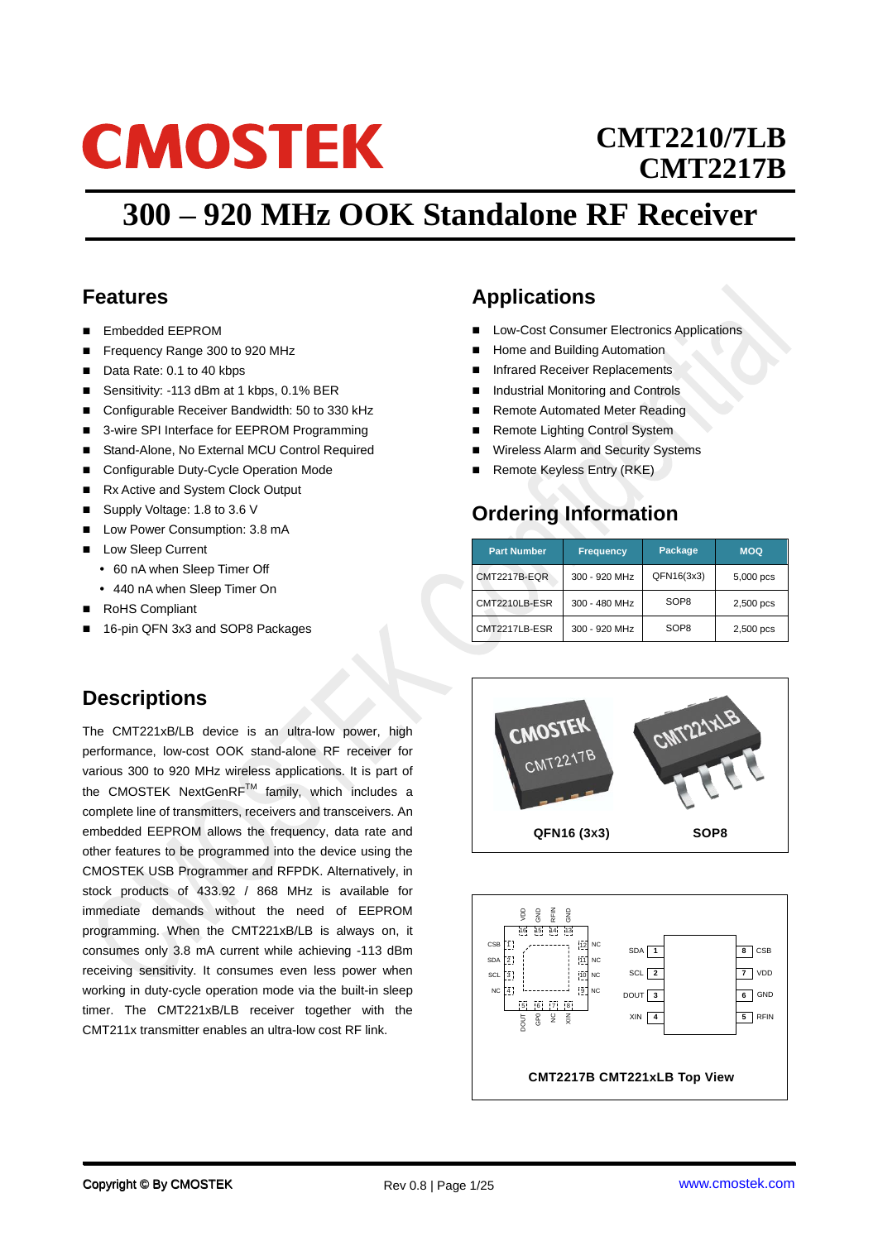# **CMOSTEK**

# **CMT2210/7LB CMT2217B**

# **300 – 920 MHz OOK Standalone RF Receiver**

# **Features**

- Embedded EEPROM
- Frequency Range 300 to 920 MHz
- Data Rate: 0.1 to 40 kbps
- Sensitivity: -113 dBm at 1 kbps, 0.1% BER
- Configurable Receiver Bandwidth: 50 to 330 kHz
- 3-wire SPI Interface for EEPROM Programming
- Stand-Alone, No External MCU Control Required
- Configurable Duty-Cycle Operation Mode
- Rx Active and System Clock Output
- Supply Voltage: 1.8 to 3.6 V
- Low Power Consumption: 3.8 mA
- **Low Sleep Current** 
	- 60 nA when Sleep Timer Off
	- 440 nA when Sleep Timer On
- RoHS Compliant
- 16-pin QFN 3x3 and SOP8 Packages

# **Descriptions**

The CMT221xB/LB device is an ultra-low power, high performance, low-cost OOK stand-alone RF receiver for various 300 to 920 MHz wireless applications. It is part of the CMOSTEK NextGenRFTM family, which includes a complete line of transmitters, receivers and transceivers. An embedded EEPROM allows the frequency, data rate and other features to be programmed into the device using the CMOSTEK USB Programmer and RFPDK. Alternatively, in stock products of 433.92 / 868 MHz is available for immediate demands without the need of EEPROM programming. When the CMT221xB/LB is always on, it consumes only 3.8 mA current while achieving -113 dBm receiving sensitivity. It consumes even less power when working in duty-cycle operation mode via the built-in sleep timer. The CMT221xB/LB receiver together with the CMT211x transmitter enables an ultra-low cost RF link.

# **Applications**

- Low-Cost Consumer Electronics Applications
- Home and Building Automation
- Infrared Receiver Replacements
- Industrial Monitoring and Controls
- Remote Automated Meter Reading
- Remote Lighting Control System
- Wireless Alarm and Security Systems
- Remote Keyless Entry (RKE)

# **Ordering Information**

| <b>Part Number</b> | <b>Frequency</b> | Package          | <b>MOQ</b> |
|--------------------|------------------|------------------|------------|
| CMT2217B-EQR       | 300 - 920 MHz    | QFN16(3x3)       | 5,000 pcs  |
| CMT2210LB-ESR      | 300 - 480 MHz    | SOP <sub>8</sub> | 2,500 pcs  |
| CMT2217LB-ESR      | 300 - 920 MHz    | SOP <sub>8</sub> | 2,500 pcs  |



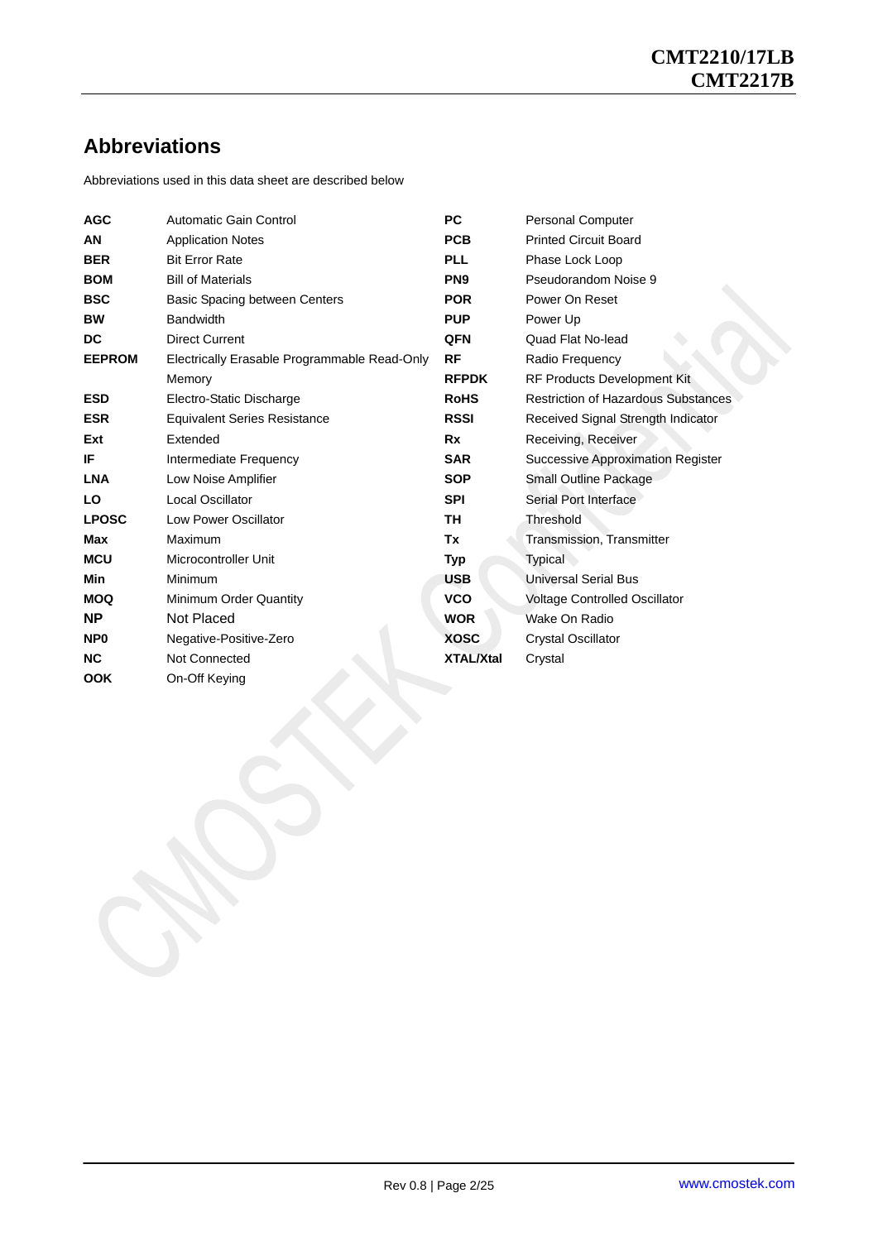# **Abbreviations**

Abbreviations used in this data sheet are described below

| <b>AGC</b>      | Automatic Gain Control                       | <b>PC</b>        | <b>Personal Computer</b>                   |
|-----------------|----------------------------------------------|------------------|--------------------------------------------|
| AN              | <b>Application Notes</b>                     | <b>PCB</b>       | <b>Printed Circuit Board</b>               |
| <b>BER</b>      | <b>Bit Error Rate</b>                        | <b>PLL</b>       | Phase Lock Loop                            |
| <b>BOM</b>      | <b>Bill of Materials</b>                     | PN <sub>9</sub>  | Pseudorandom Noise 9                       |
| <b>BSC</b>      | <b>Basic Spacing between Centers</b>         | <b>POR</b>       | Power On Reset                             |
| <b>BW</b>       | <b>Bandwidth</b>                             | <b>PUP</b>       | Power Up                                   |
| <b>DC</b>       | <b>Direct Current</b>                        | <b>QFN</b>       | Quad Flat No-lead                          |
| <b>EEPROM</b>   | Electrically Erasable Programmable Read-Only | <b>RF</b>        | Radio Frequency                            |
|                 | Memory                                       | <b>RFPDK</b>     | RF Products Development Kit                |
| <b>ESD</b>      | Electro-Static Discharge                     | <b>RoHS</b>      | <b>Restriction of Hazardous Substances</b> |
| <b>ESR</b>      | <b>Equivalent Series Resistance</b>          | <b>RSSI</b>      | Received Signal Strength Indicator         |
| Ext             | Extended                                     | <b>Rx</b>        | Receiving, Receiver                        |
| IF              | Intermediate Frequency                       | <b>SAR</b>       | Successive Approximation Register          |
| <b>LNA</b>      | Low Noise Amplifier                          | <b>SOP</b>       | Small Outline Package                      |
| LO              | Local Oscillator                             | <b>SPI</b>       | Serial Port Interface                      |
| <b>LPOSC</b>    | Low Power Oscillator                         | <b>TH</b>        | Threshold                                  |
| <b>Max</b>      | Maximum                                      | Tx               | Transmission, Transmitter                  |
| <b>MCU</b>      | Microcontroller Unit                         | Typ              | <b>Typical</b>                             |
| <b>Min</b>      | Minimum                                      | <b>USB</b>       | <b>Universal Serial Bus</b>                |
| <b>MOQ</b>      | Minimum Order Quantity                       | <b>VCO</b>       | <b>Voltage Controlled Oscillator</b>       |
| <b>NP</b>       | <b>Not Placed</b>                            | <b>WOR</b>       | Wake On Radio                              |
| NP <sub>0</sub> | Negative-Positive-Zero                       | <b>XOSC</b>      | <b>Crystal Oscillator</b>                  |
| <b>NC</b>       | Not Connected                                | <b>XTAL/Xtal</b> | Crystal                                    |
| <b>OOK</b>      | On-Off Keying                                |                  |                                            |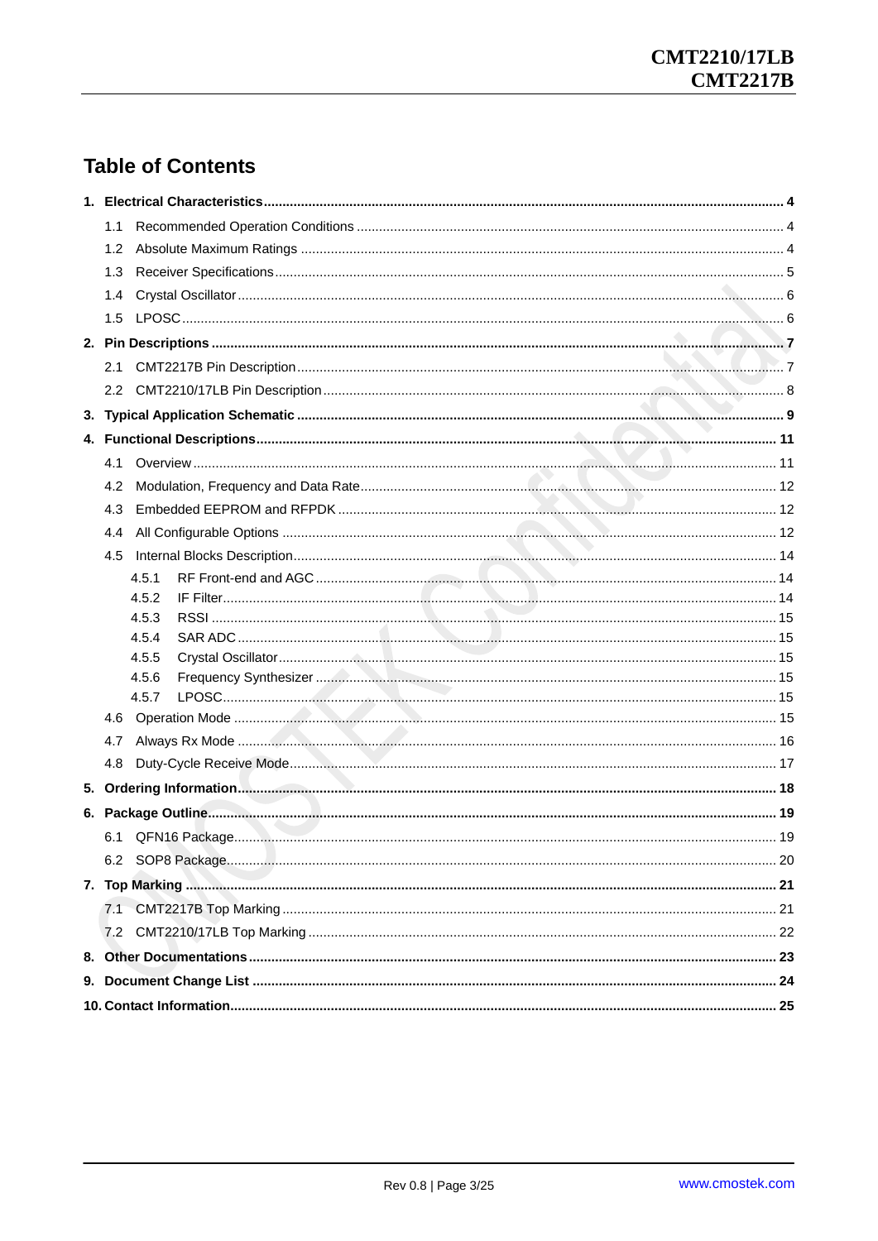# **Table of Contents**

| 1.1 |                |  |
|-----|----------------|--|
| 1.2 |                |  |
| 1.3 |                |  |
| 1.4 |                |  |
|     |                |  |
|     |                |  |
| 2.1 |                |  |
|     |                |  |
|     |                |  |
|     |                |  |
| 4.1 |                |  |
| 4.2 |                |  |
| 4.3 |                |  |
| 4.4 |                |  |
| 4.5 |                |  |
|     | 4.5.1          |  |
|     | 4.5.2          |  |
|     | 4.5.3          |  |
|     | 4.5.4          |  |
|     | 4.5.5          |  |
|     | 4.5.6<br>4.5.7 |  |
|     |                |  |
| 4.7 |                |  |
| 4.8 |                |  |
|     |                |  |
|     |                |  |
|     |                |  |
|     |                |  |
|     |                |  |
|     |                |  |
| 7.1 |                |  |
|     |                |  |
|     |                |  |
|     |                |  |
|     |                |  |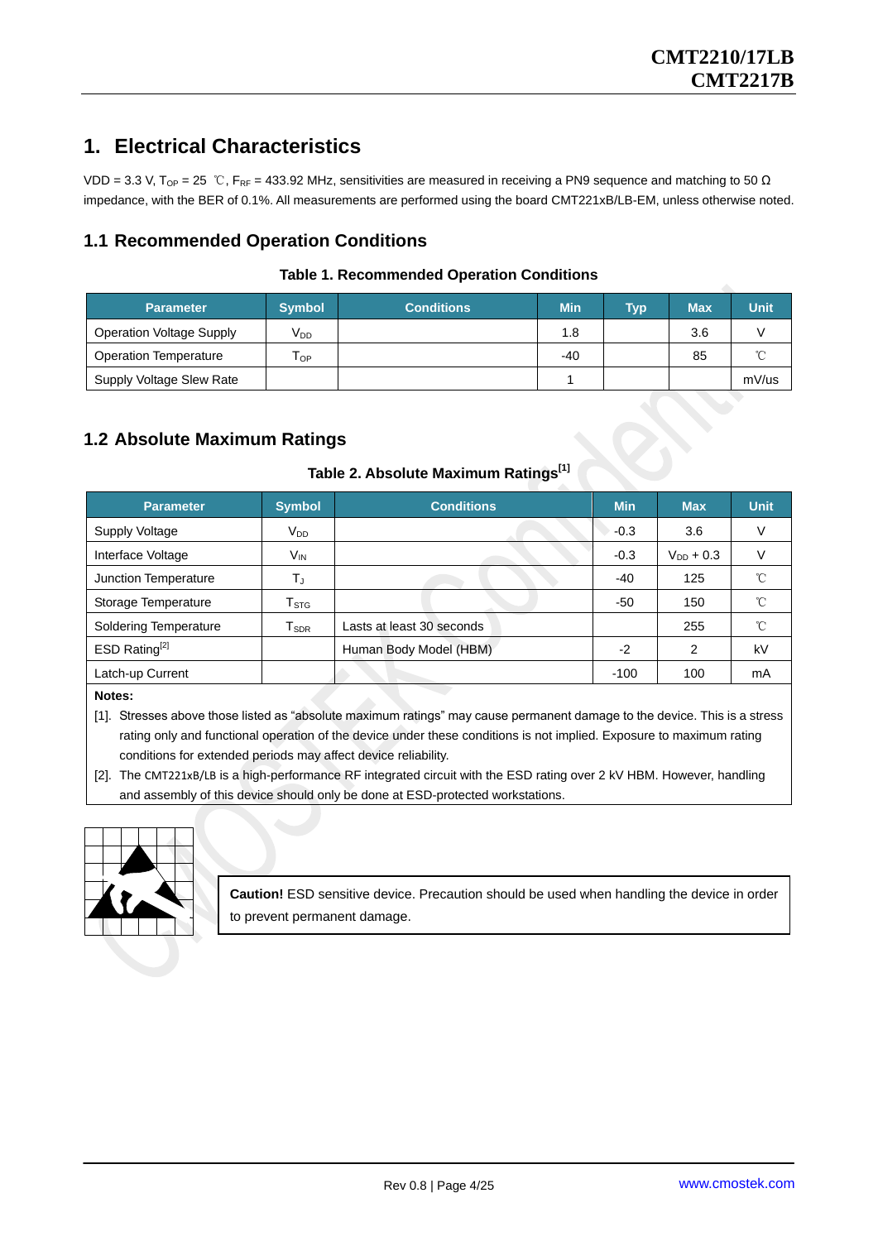# <span id="page-3-0"></span>**1. Electrical Characteristics**

VDD = 3.3 V, T<sub>OP</sub> = 25 ℃, F<sub>RF</sub> = 433.92 MHz, sensitivities are measured in receiving a PN9 sequence and matching to 50  $\Omega$ impedance, with the BER of 0.1%. All measurements are performed using the board CMT221xB/LB-EM, unless otherwise noted.

#### <span id="page-3-1"></span>**1.1 Recommended Operation Conditions**

|  | <b>Table 1. Recommended Operation Conditions</b> |  |  |
|--|--------------------------------------------------|--|--|
|--|--------------------------------------------------|--|--|

| <b>Parameter</b>                | <b>Symbol</b>              | <b>Conditions</b> | <b>Min</b> | <b>Typ</b> | <b>Max</b> | <b>Unit</b> |
|---------------------------------|----------------------------|-------------------|------------|------------|------------|-------------|
| <b>Operation Voltage Supply</b> | $V_{DD}$                   |                   | 1.8        |            | 3.6        |             |
| Operation Temperature           | $\mathsf{T}_{\mathsf{OP}}$ |                   | $-40$      |            | 85         | $\gamma$    |
| Supply Voltage Slew Rate        |                            |                   |            |            |            | mV/us       |

#### <span id="page-3-2"></span>**1.2 Absolute Maximum Ratings**

#### **Table 2. Absolute Maximum Ratings[1]**

| <b>Parameter</b>             | <b>Symbol</b>                | <b>Conditions</b>         | <b>Min</b> | <b>Max</b>     | <b>Unit</b>  |
|------------------------------|------------------------------|---------------------------|------------|----------------|--------------|
| <b>Supply Voltage</b>        | V <sub>DD</sub>              |                           | $-0.3$     | 3.6            | ٧            |
| Interface Voltage            | $V_{IN}$                     |                           | $-0.3$     | $V_{DD}$ + 0.3 | V            |
| Junction Temperature         | T,                           |                           | $-40$      | 125            | $^{\circ}$ C |
| Storage Temperature          | ${\sf T}_{\text{STG}}$       |                           | -50        | 150            | °C           |
| <b>Soldering Temperature</b> | ${\mathsf T}_{\textsf{SDR}}$ | Lasts at least 30 seconds |            | 255            | $^{\circ}$ C |
| ESD Rating <sup>[2]</sup>    |                              | Human Body Model (HBM)    | $-2$       | 2              | kV           |
| Latch-up Current             |                              |                           | $-100$     | 100            | mA           |

**Notes:**

[1]. Stresses above those listed as "absolute maximum ratings" may cause permanent damage to the device. This is a stress rating only and functional operation of the device under these conditions is not implied. Exposure to maximum rating conditions for extended periods may affect device reliability.

[2]. The CMT221xB/LB is a high-performance RF integrated circuit with the ESD rating over 2 kV HBM. However, handling and assembly of this device should only be done at ESD-protected workstations.



**Caution!** ESD sensitive device. Precaution should be used when handling the device in order to prevent permanent damage.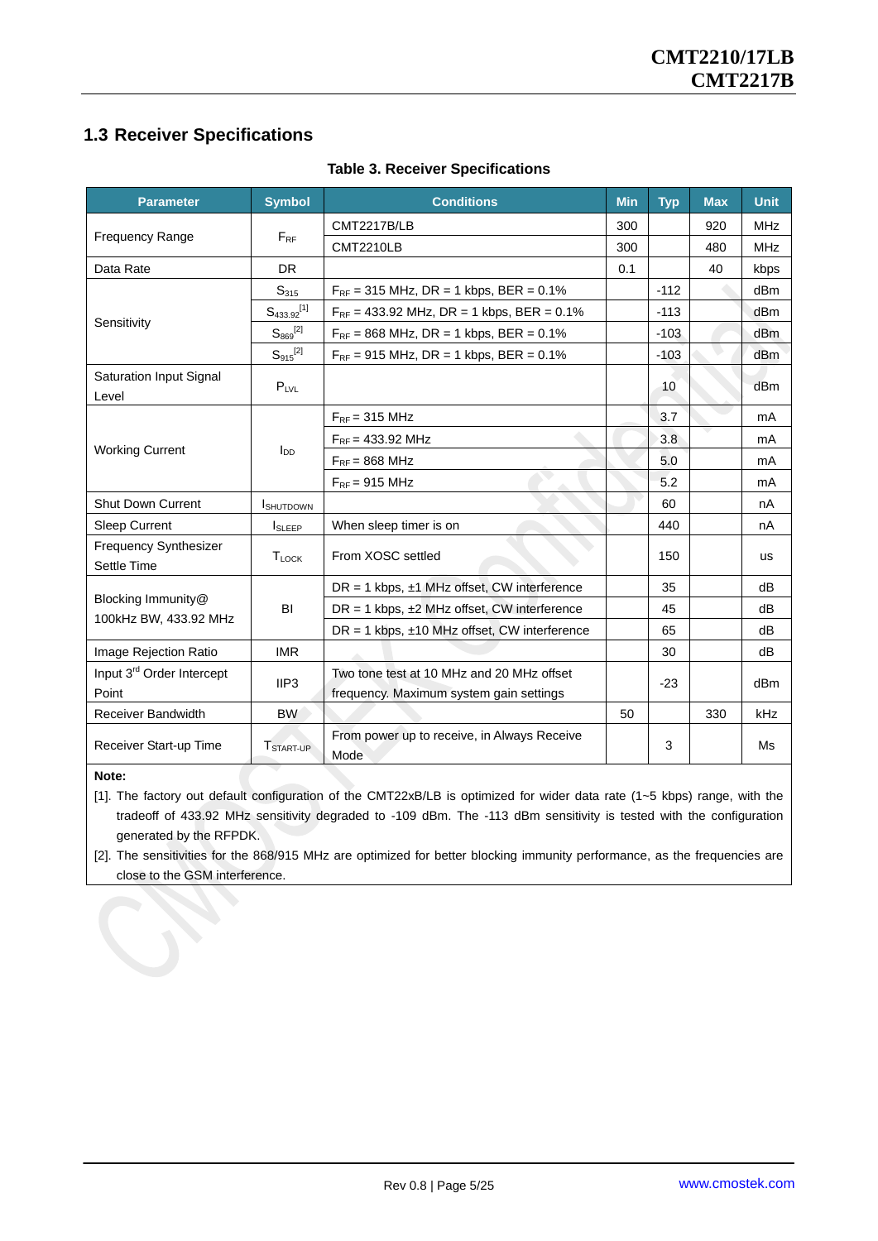## <span id="page-4-0"></span>**1.3 Receiver Specifications**

| <b>Parameter</b>                            | <b>Symbol</b>               | <b>Conditions</b>                                   | <b>Min</b> | <b>Typ</b> | <b>Max</b> | <b>Unit</b>     |
|---------------------------------------------|-----------------------------|-----------------------------------------------------|------------|------------|------------|-----------------|
|                                             |                             | <b>CMT2217B/LB</b>                                  | 300        |            | 920        | <b>MHz</b>      |
| <b>Frequency Range</b>                      | $F_{RF}$                    | <b>CMT2210LB</b>                                    | 300        |            | 480        | <b>MHz</b>      |
| Data Rate                                   | DR.                         |                                                     | 0.1        |            | 40         | kbps            |
|                                             | $S_{315}$                   | $F_{RF}$ = 315 MHz, DR = 1 kbps, BER = 0.1%         |            | $-112$     |            | dB <sub>m</sub> |
|                                             | $\mathsf{S}_{433.92}^{[1]}$ | $F_{RF}$ = 433.92 MHz, DR = 1 kbps, BER = 0.1%      |            | $-113$     |            | dB <sub>m</sub> |
| Sensitivity                                 | $S_{869}^{[2]}$             | $F_{RF}$ = 868 MHz, DR = 1 kbps, BER = 0.1%         |            | $-103$     |            | dBm             |
|                                             | $S_{915}^{[2]}$             | $F_{RF}$ = 915 MHz, DR = 1 kbps, BER = 0.1%         |            | $-103$     |            | dBm             |
| Saturation Input Signal                     | $P_{LVL}$                   |                                                     |            | 10         |            | dBm             |
| Level                                       |                             |                                                     |            |            |            |                 |
|                                             |                             | $F_{RF}$ = 315 MHz                                  |            | 3.7        |            | mA              |
|                                             | $I_{DD}$                    | $F_{RF}$ = 433.92 MHz                               |            | 3.8        |            | mA              |
| <b>Working Current</b>                      |                             | $F_{RF}$ = 868 MHz                                  |            | 5.0        |            | mA              |
|                                             |                             | $F_{RF}$ = 915 MHz                                  |            | 5.2        |            | mA              |
| <b>Shut Down Current</b>                    | <b>I</b> SHUTDOWN           |                                                     |            | 60         |            | nA              |
| Sleep Current                               | <b>I</b> SLEEP              | When sleep timer is on                              |            | 440        |            | nA              |
| <b>Frequency Synthesizer</b><br>Settle Time | <b>TLOCK</b>                | From XOSC settled                                   |            | 150        |            | <b>us</b>       |
|                                             |                             | $DR = 1$ kbps, $\pm 1$ MHz offset, CW interference  |            | 35         |            | dB              |
| Blocking Immunity@                          | BI                          | $DR = 1$ kbps, $\pm 2$ MHz offset, CW interference  |            | 45         |            | dB              |
| 100kHz BW, 433.92 MHz                       |                             | DR = 1 kbps, ±10 MHz offset, CW interference        |            | 65         |            | dB              |
| Image Rejection Ratio                       | <b>IMR</b>                  |                                                     |            | 30         |            | dB              |
| Input 3 <sup>rd</sup> Order Intercept       |                             | Two tone test at 10 MHz and 20 MHz offset           |            | $-23$      |            | dBm             |
| Point                                       | IIP3                        | frequency. Maximum system gain settings             |            |            |            |                 |
| Receiver Bandwidth                          | <b>BW</b>                   |                                                     | 50         |            | 330        | kHz             |
| Receiver Start-up Time                      | T <sub>START-UP</sub>       | From power up to receive, in Always Receive<br>Mode |            | 3          |            | Ms              |

#### **Table 3. Receiver Specifications**

**Note:**

[1]. The factory out default configuration of the CMT22xB/LB is optimized for wider data rate (1~5 kbps) range, with the tradeoff of 433.92 MHz sensitivity degraded to -109 dBm. The -113 dBm sensitivity is tested with the configuration generated by the RFPDK.

[2]. The sensitivities for the 868/915 MHz are optimized for better blocking immunity performance, as the frequencies are close to the GSM interference.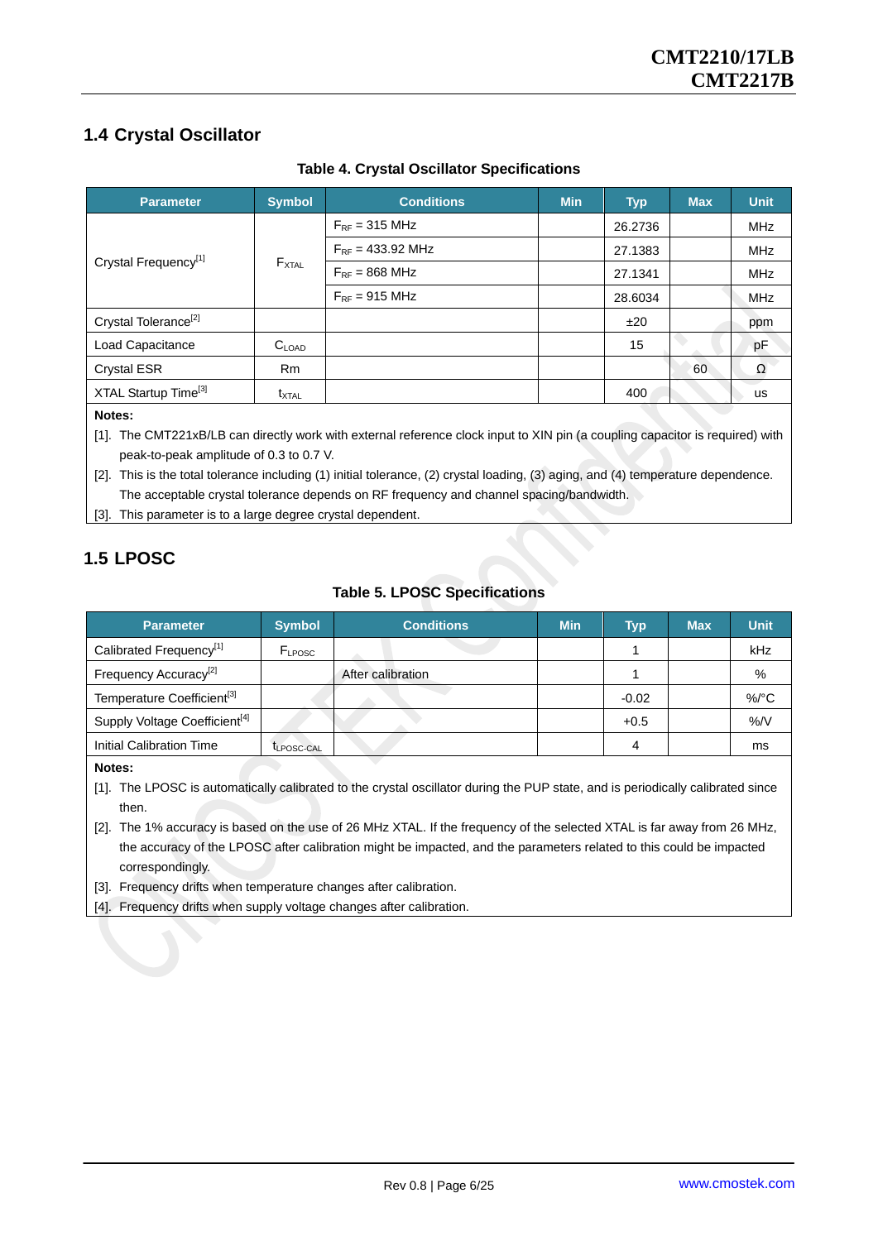### <span id="page-5-0"></span>**1.4 Crystal Oscillator**

| <b>Parameter</b>                 | <b>Symbol</b>     | <b>Conditions</b>             | <b>Min</b> | Typ     | <b>Max</b> | <b>Unit</b> |
|----------------------------------|-------------------|-------------------------------|------------|---------|------------|-------------|
|                                  |                   | $F_{RF}$ = 315 MHz            |            | 26.2736 |            | <b>MHz</b>  |
|                                  |                   | $F_{RF} = 433.92 \text{ MHz}$ |            | 27.1383 |            | <b>MHz</b>  |
| Crystal Frequency <sup>[1]</sup> | $F_{\text{XTAL}}$ | $F_{RF}$ = 868 MHz            |            | 27.1341 |            | <b>MHz</b>  |
|                                  |                   | $F_{RF}$ = 915 MHz            |            | 28.6034 |            | <b>MHz</b>  |
| Crystal Tolerance <sup>[2]</sup> |                   |                               |            | ±20     |            | ppm         |
| Load Capacitance                 | $C_{\text{LOAD}}$ |                               |            | 15      |            | pF          |
| <b>Crystal ESR</b>               | R <sub>m</sub>    |                               |            |         | 60         | Ω           |
| XTAL Startup Time <sup>[3]</sup> | $t_{\text{XTAL}}$ |                               |            | 400     |            | <b>us</b>   |
|                                  |                   |                               |            |         |            |             |

#### **Table 4. Crystal Oscillator Specifications**

**Notes:**

[1]. The CMT221xB/LB can directly work with external reference clock input to XIN pin (a coupling capacitor is required) with peak-to-peak amplitude of 0.3 to 0.7 V.

[2]. This is the total tolerance including (1) initial tolerance, (2) crystal loading, (3) aging, and (4) temperature dependence. The acceptable crystal tolerance depends on RF frequency and channel spacing/bandwidth.

[3]. This parameter is to a large degree crystal dependent.

# <span id="page-5-1"></span>**1.5 LPOSC**

#### **Table 5. LPOSC Specifications**

| <b>Parameter</b>                          | <b>Symbol</b>          | <b>Conditions</b> | <b>Min</b> | Typ     | <b>Max</b> | <b>Unit</b> |
|-------------------------------------------|------------------------|-------------------|------------|---------|------------|-------------|
| Calibrated Frequency <sup>[1]</sup>       | FLPOSC                 |                   |            |         |            | kHz         |
| Frequency Accuracy <sup>[2]</sup>         |                        | After calibration |            |         |            | %           |
| Temperature Coefficient <sup>[3]</sup>    |                        |                   |            | $-0.02$ |            | $\%$ /°C    |
| Supply Voltage Coefficient <sup>[4]</sup> |                        |                   |            | $+0.5$  |            | %N          |
| <b>Initial Calibration Time</b>           | t <sub>LPOSC-CAL</sub> |                   |            |         |            | ms          |
|                                           |                        |                   |            |         |            |             |

**Notes:**

[1]. The LPOSC is automatically calibrated to the crystal oscillator during the PUP state, and is periodically calibrated since then.

[2]. The 1% accuracy is based on the use of 26 MHz XTAL. If the frequency of the selected XTAL is far away from 26 MHz, the accuracy of the LPOSC after calibration might be impacted, and the parameters related to this could be impacted correspondingly.

[3]. Frequency drifts when temperature changes after calibration.

[4]. Frequency drifts when supply voltage changes after calibration.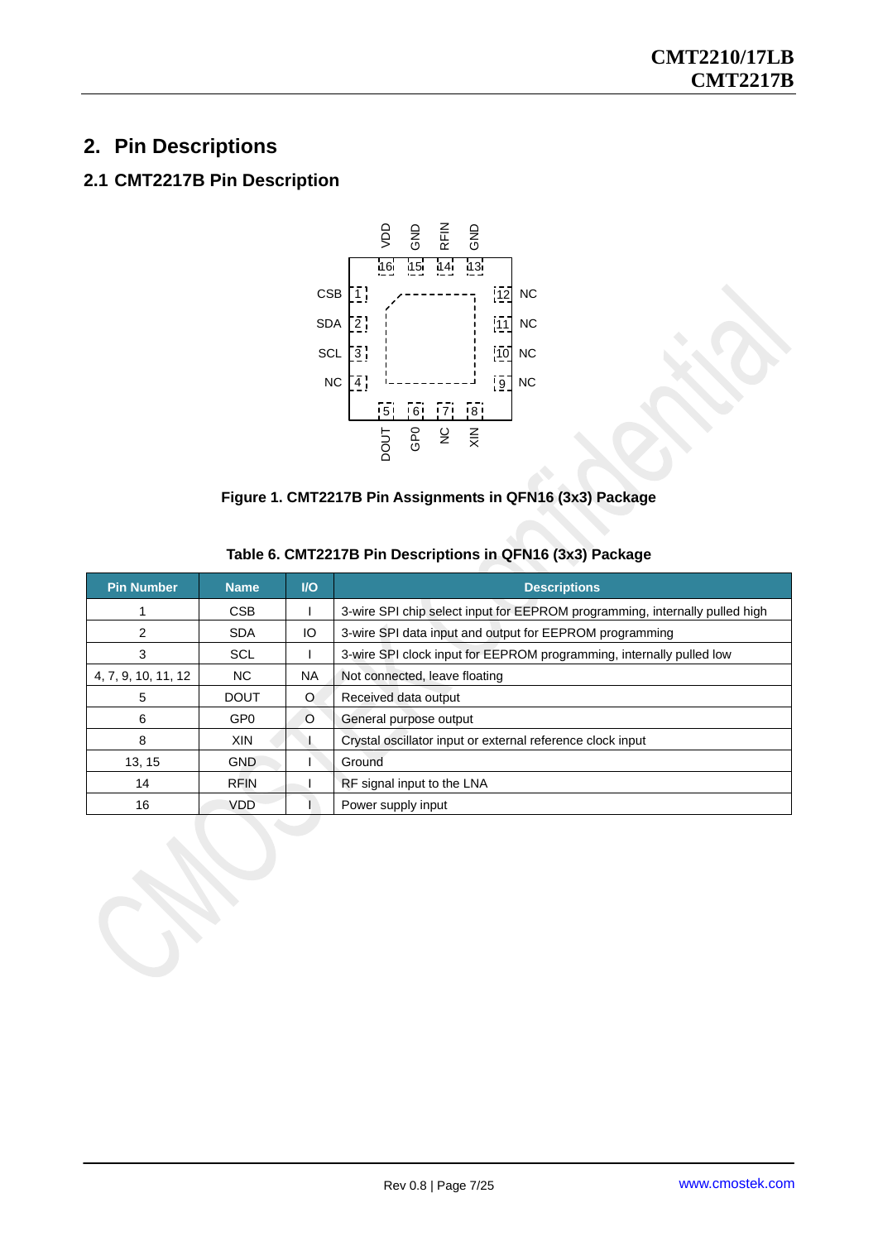# <span id="page-6-0"></span>**2. Pin Descriptions**

# <span id="page-6-1"></span>**2.1 CMT2217B Pin Description**





| <b>Pin Number</b>   | Name            | $\mathsf{U}\mathsf{O}$ | <b>Descriptions</b>                                                         |
|---------------------|-----------------|------------------------|-----------------------------------------------------------------------------|
|                     | <b>CSB</b>      |                        | 3-wire SPI chip select input for EEPROM programming, internally pulled high |
| 2                   | <b>SDA</b>      | IO                     | 3-wire SPI data input and output for EEPROM programming                     |
| 3                   | <b>SCL</b>      |                        | 3-wire SPI clock input for EEPROM programming, internally pulled low        |
| 4, 7, 9, 10, 11, 12 | NC.             | NA                     | Not connected, leave floating                                               |
| 5                   | <b>DOUT</b>     | O                      | Received data output                                                        |
| 6                   | GP <sub>0</sub> | O                      | General purpose output                                                      |
| 8                   | XIN             |                        | Crystal oscillator input or external reference clock input                  |
| 13, 15              | <b>GND</b>      |                        | Ground                                                                      |
| 14                  | <b>RFIN</b>     |                        | RF signal input to the LNA                                                  |
| 16                  | <b>VDD</b>      |                        | Power supply input                                                          |

#### **Table 6. CMT2217B Pin Descriptions in QFN16 (3x3) Package**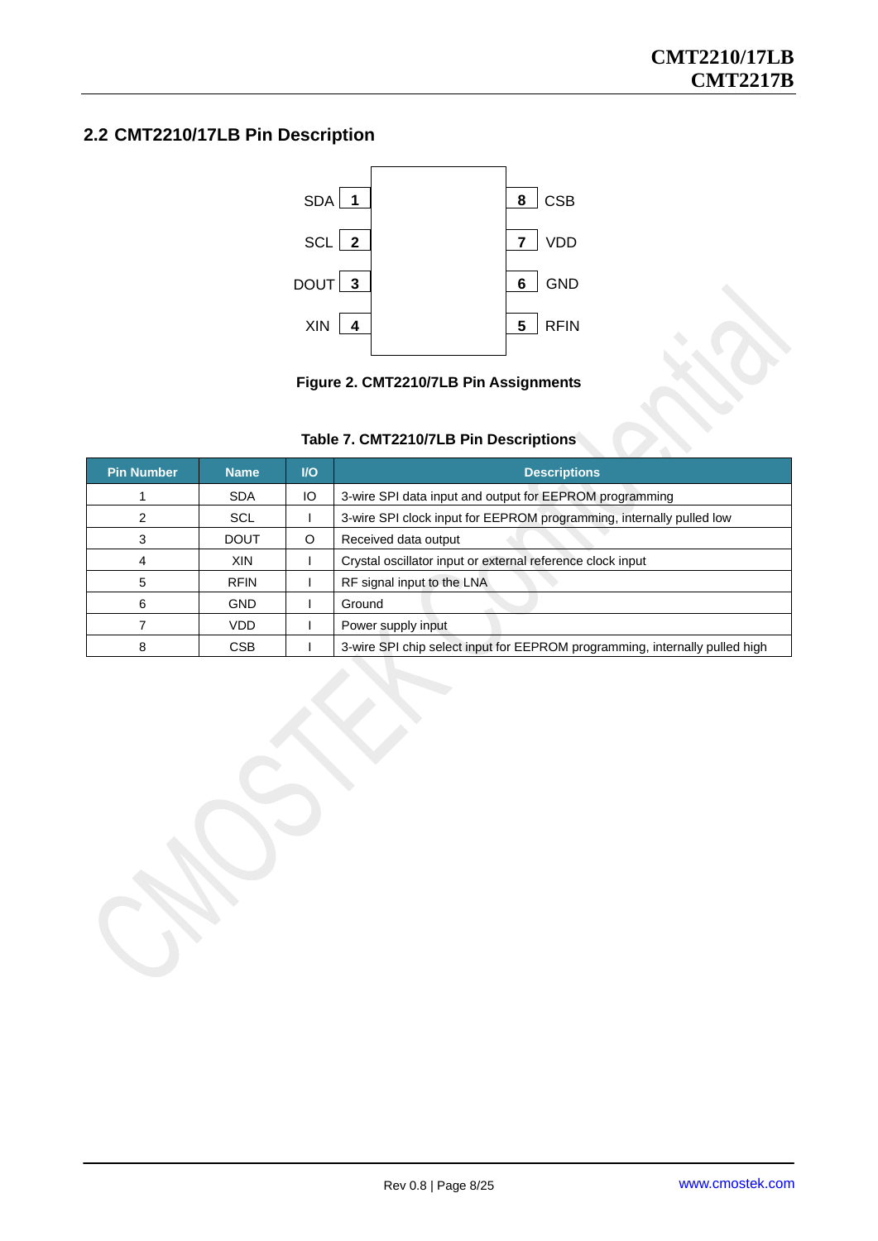#### <span id="page-7-0"></span>**2.2 CMT2210/17LB Pin Description**



**Figure 2. CMT2210/7LB Pin Assignments**

#### **Table 7. CMT2210/7LB Pin Descriptions**

| <b>Pin Number</b> | <b>Name</b> | $II$ | <b>Descriptions</b>                                                         |  |  |  |
|-------------------|-------------|------|-----------------------------------------------------------------------------|--|--|--|
|                   | <b>SDA</b>  | IO   | 3-wire SPI data input and output for EEPROM programming                     |  |  |  |
| 2                 | SCL         |      | 3-wire SPI clock input for EEPROM programming, internally pulled low        |  |  |  |
| 3                 | <b>DOUT</b> | O    | Received data output                                                        |  |  |  |
| 4                 | XIN         |      | Crystal oscillator input or external reference clock input                  |  |  |  |
| 5                 | <b>RFIN</b> |      | RF signal input to the LNA                                                  |  |  |  |
| 6                 | <b>GND</b>  |      | Ground                                                                      |  |  |  |
|                   | <b>VDD</b>  |      | Power supply input                                                          |  |  |  |
| 8                 | <b>CSB</b>  |      | 3-wire SPI chip select input for EEPROM programming, internally pulled high |  |  |  |

Rev 0.8 | Page 8/25 www.cmostek.com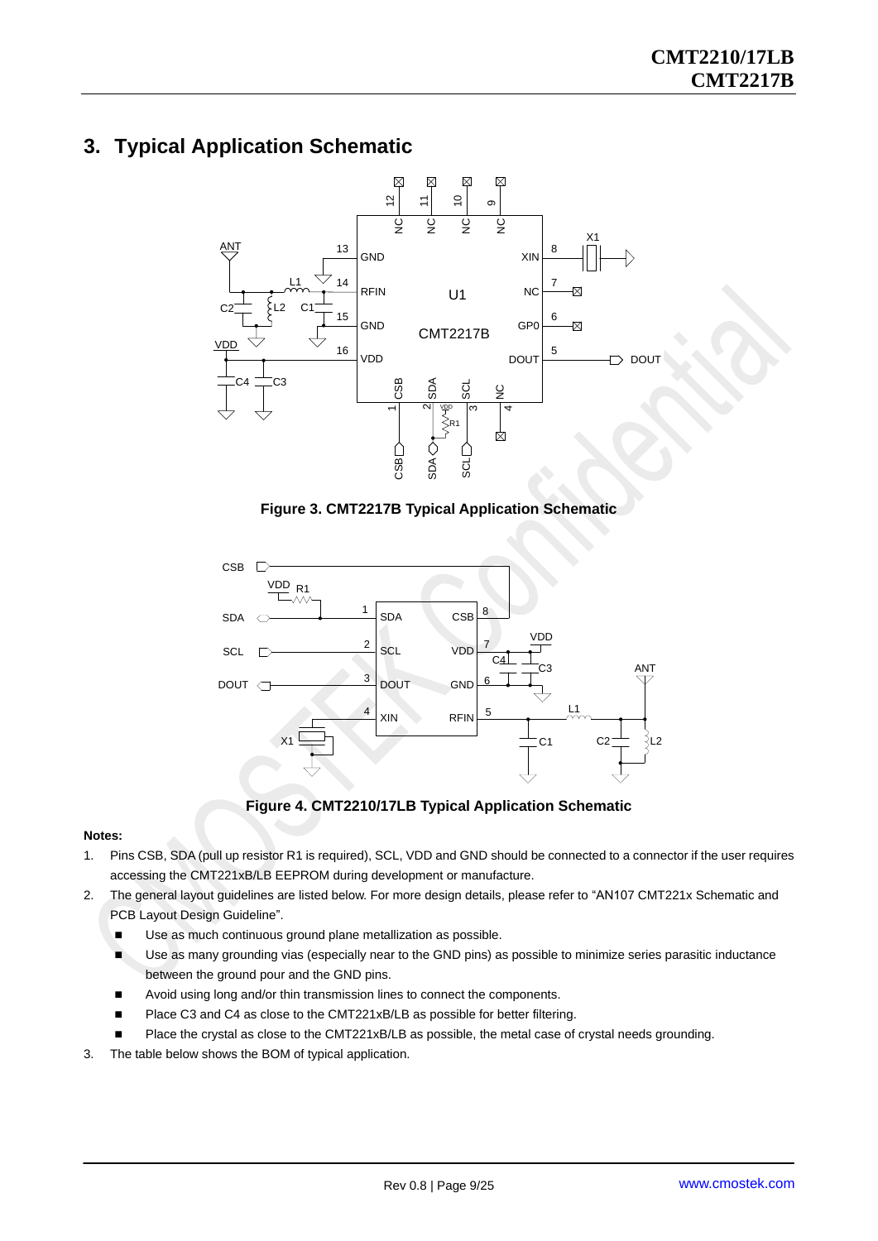# <span id="page-8-0"></span>**3. Typical Application Schematic**



**Figure 3. CMT2217B Typical Application Schematic**



**Figure 4. CMT2210/17LB Typical Application Schematic**

#### **Notes:**

- 1. Pins CSB, SDA (pull up resistor R1 is required), SCL, VDD and GND should be connected to a connector if the user requires accessing the CMT221xB/LB EEPROM during development or manufacture.
- 2. The general layout guidelines are listed below. For more design details, please refer to "AN107 CMT221x Schematic and PCB Layout Design Guideline".
	- Use as much continuous ground plane metallization as possible.
	- Use as many grounding vias (especially near to the GND pins) as possible to minimize series parasitic inductance between the ground pour and the GND pins.
	- Avoid using long and/or thin transmission lines to connect the components.
	- Place C3 and C4 as close to the CMT221xB/LB as possible for better filtering.
	- Place the crystal as close to the CMT221xB/LB as possible, the metal case of crystal needs grounding.
- 3. The table below shows the BOM of typical application.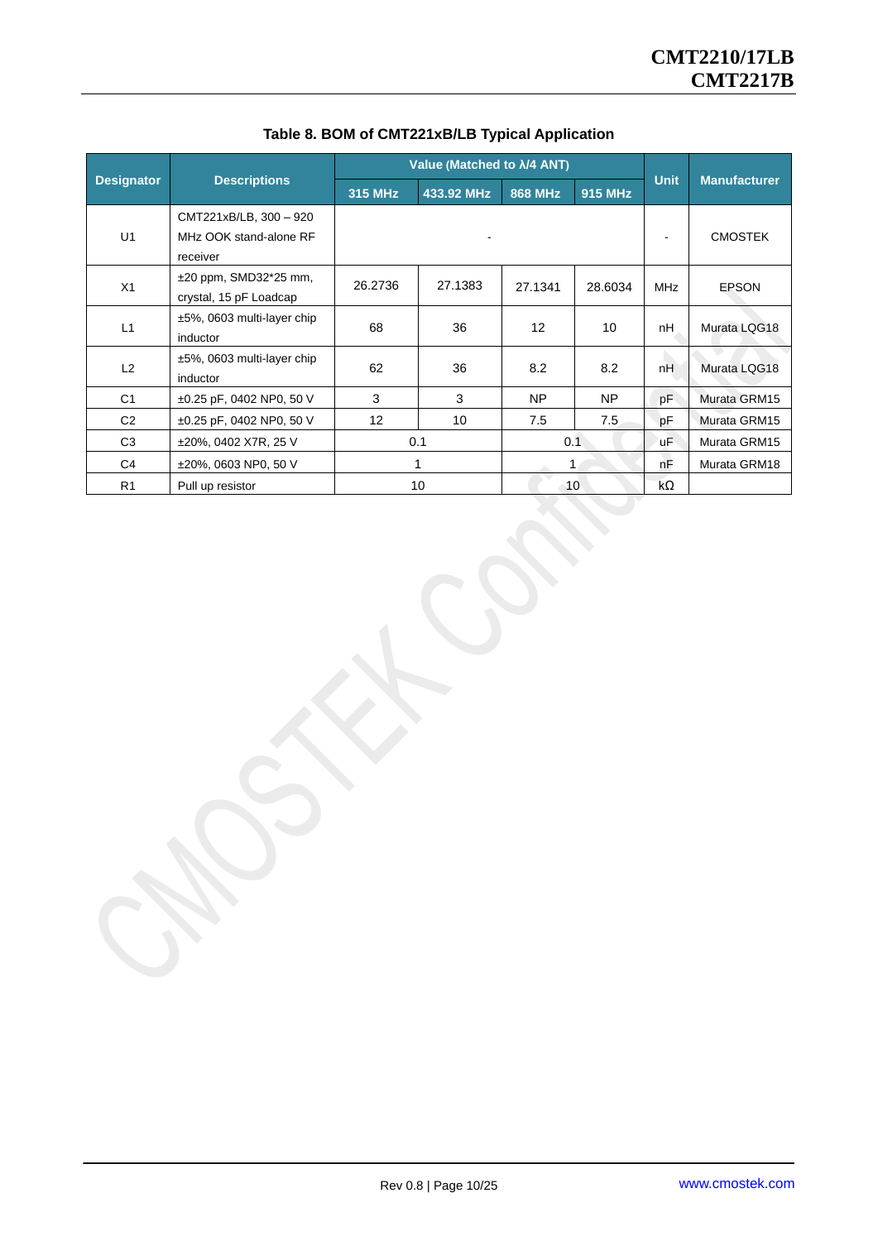|                   |                                                              | Value (Matched to $\lambda$ /4 ANT) |            |                   |         |             |                     |
|-------------------|--------------------------------------------------------------|-------------------------------------|------------|-------------------|---------|-------------|---------------------|
| <b>Designator</b> | <b>Descriptions</b>                                          | <b>315 MHz</b>                      | 433.92 MHz | <b>868 MHz</b>    | 915 MHz | <b>Unit</b> | <b>Manufacturer</b> |
| U1                | CMT221xB/LB, 300 - 920<br>MHz OOK stand-alone RF<br>receiver |                                     |            |                   |         | -           | <b>CMOSTEK</b>      |
| X1                | $\pm 20$ ppm, SMD32*25 mm,<br>crystal, 15 pF Loadcap         | 26.2736                             | 27.1383    | 27.1341           | 28.6034 | <b>MHz</b>  | <b>EPSON</b>        |
| L1                | ±5%, 0603 multi-layer chip<br>inductor                       | 68                                  | 36         | $12 \overline{ }$ | 10      | nH          | Murata LQG18        |
| L2                | ±5%, 0603 multi-layer chip<br>inductor                       | 62                                  | 36         | 8.2               | 8.2     | nH          | Murata LQG18        |
| C <sub>1</sub>    | ±0.25 pF, 0402 NP0, 50 V                                     | 3                                   | 3          | NP                | NP      | pF          | Murata GRM15        |
| C <sub>2</sub>    | ±0.25 pF, 0402 NP0, 50 V                                     | 12                                  | 10         | 7.5               | 7.5     | pF          | Murata GRM15        |
| C <sub>3</sub>    | ±20%, 0402 X7R, 25 V                                         |                                     | 0.1        | 0.1               |         | <b>uF</b>   | Murata GRM15        |
| C <sub>4</sub>    | ±20%, 0603 NP0, 50 V                                         |                                     |            | 1                 |         | nF          | Murata GRM18        |
| R <sub>1</sub>    | Pull up resistor                                             |                                     | 10         | 10 <sub>1</sub>   |         | kΩ          |                     |

#### **Table 8. BOM of CMT221xB/LB Typical Application**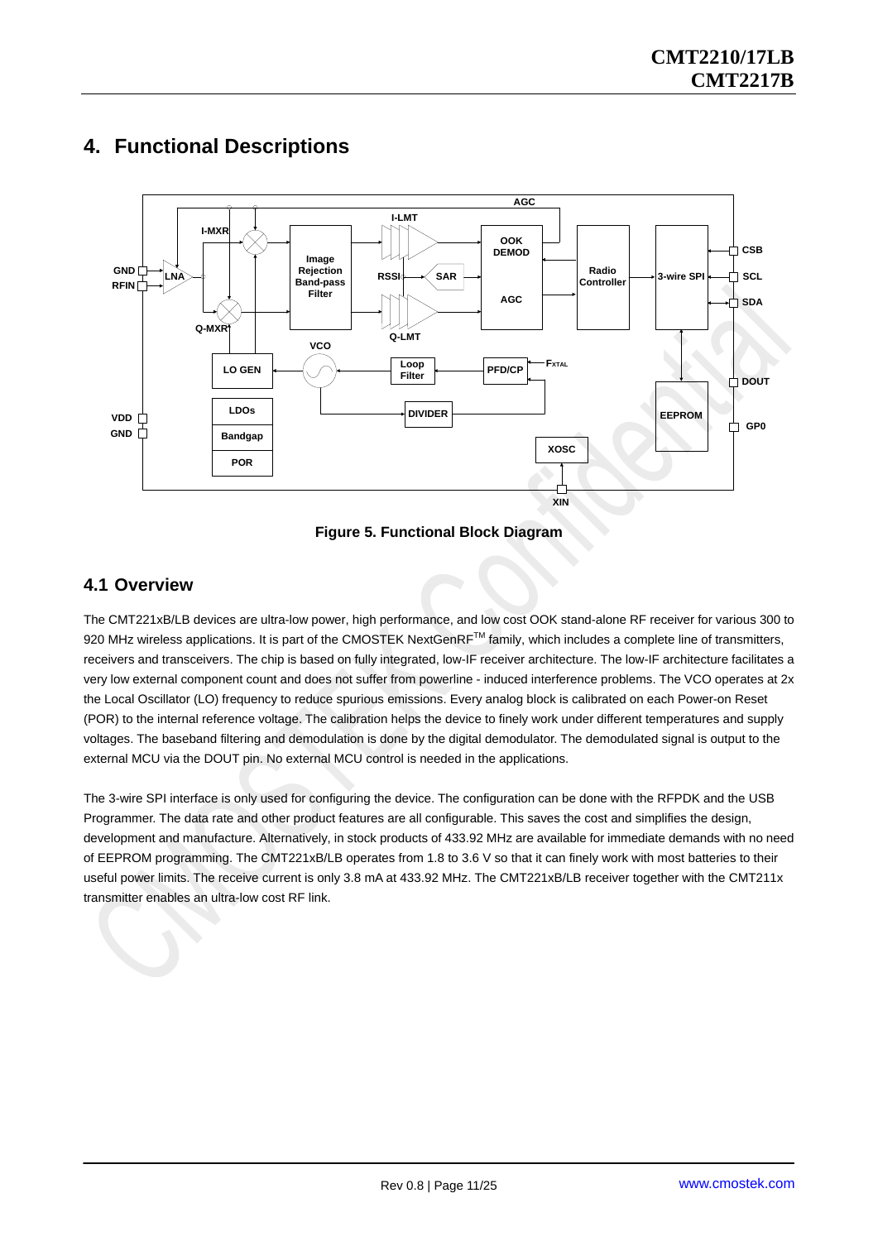

# <span id="page-10-0"></span>**4. Functional Descriptions**



#### <span id="page-10-1"></span>**4.1 Overview**

The CMT221xB/LB devices are ultra-low power, high performance, and low cost OOK stand-alone RF receiver for various 300 to 920 MHz wireless applications. It is part of the CMOSTEK NextGenRF™ family, which includes a complete line of transmitters, receivers and transceivers. The chip is based on fully integrated, low-IF receiver architecture. The low-IF architecture facilitates a very low external component count and does not suffer from powerline - induced interference problems. The VCO operates at 2x the Local Oscillator (LO) frequency to reduce spurious emissions. Every analog block is calibrated on each Power-on Reset (POR) to the internal reference voltage. The calibration helps the device to finely work under different temperatures and supply voltages. The baseband filtering and demodulation is done by the digital demodulator. The demodulated signal is output to the external MCU via the DOUT pin. No external MCU control is needed in the applications.

The 3-wire SPI interface is only used for configuring the device. The configuration can be done with the RFPDK and the USB Programmer. The data rate and other product features are all configurable. This saves the cost and simplifies the design, development and manufacture. Alternatively, in stock products of 433.92 MHz are available for immediate demands with no need of EEPROM programming. The CMT221xB/LB operates from 1.8 to 3.6 V so that it can finely work with most batteries to their useful power limits. The receive current is only 3.8 mA at 433.92 MHz. The CMT221xB/LB receiver together with the CMT211x transmitter enables an ultra-low cost RF link.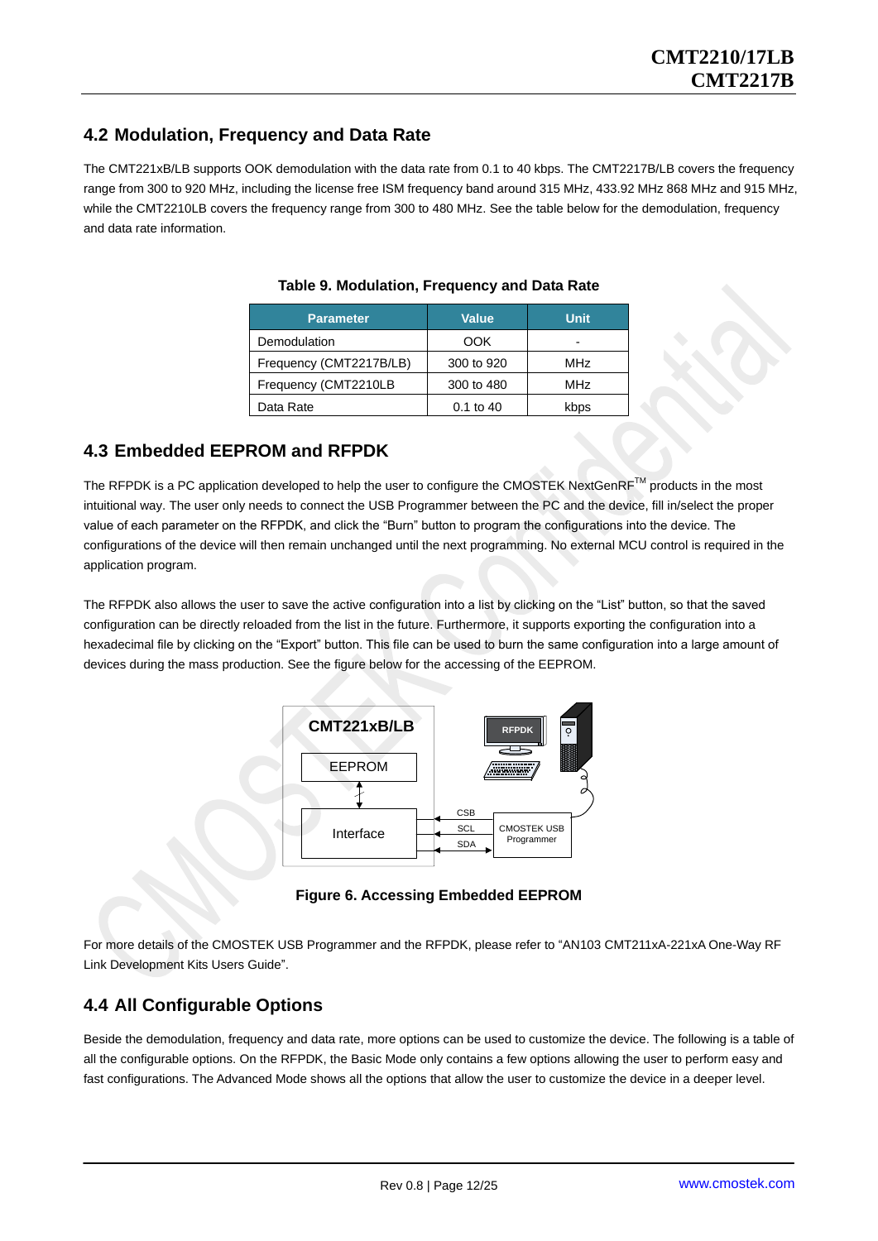#### <span id="page-11-0"></span>**4.2 Modulation, Frequency and Data Rate**

The CMT221xB/LB supports OOK demodulation with the data rate from 0.1 to 40 kbps. The CMT2217B/LB covers the frequency range from 300 to 920 MHz, including the license free ISM frequency band around 315 MHz, 433.92 MHz 868 MHz and 915 MHz, while the CMT2210LB covers the frequency range from 300 to 480 MHz. See the table below for the demodulation, frequency and data rate information.

| <b>Parameter</b>        | Value                | <b>Unit</b>     |
|-------------------------|----------------------|-----------------|
| Demodulation            | OOK                  | -               |
| Frequency (CMT2217B/LB) | 300 to 920           | MH <sub>7</sub> |
| Frequency (CMT2210LB    | 300 to 480           | MH <sub>7</sub> |
| Data Rate               | $0.1 \text{ to } 40$ | kbps            |

#### **Table 9. Modulation, Frequency and Data Rate**

#### <span id="page-11-1"></span>**4.3 Embedded EEPROM and RFPDK**

The RFPDK is a PC application developed to help the user to configure the CMOSTEK NextGenRFTM products in the most intuitional way. The user only needs to connect the USB Programmer between the PC and the device, fill in/select the proper value of each parameter on the RFPDK, and click the "Burn" button to program the configurations into the device. The configurations of the device will then remain unchanged until the next programming. No external MCU control is required in the application program.

The RFPDK also allows the user to save the active configuration into a list by clicking on the "List" button, so that the saved configuration can be directly reloaded from the list in the future. Furthermore, it supports exporting the configuration into a hexadecimal file by clicking on the "Export" button. This file can be used to burn the same configuration into a large amount of devices during the mass production. See the figure below for the accessing of the EEPROM.



**Figure 6. Accessing Embedded EEPROM**

For more details of the CMOSTEK USB Programmer and the RFPDK, please refer to "AN103 CMT211xA-221xA One-Way RF Link Development Kits Users Guide".

#### <span id="page-11-2"></span>**4.4 All Configurable Options**

Beside the demodulation, frequency and data rate, more options can be used to customize the device. The following is a table of all the configurable options. On the RFPDK, the Basic Mode only contains a few options allowing the user to perform easy and fast configurations. The Advanced Mode shows all the options that allow the user to customize the device in a deeper level.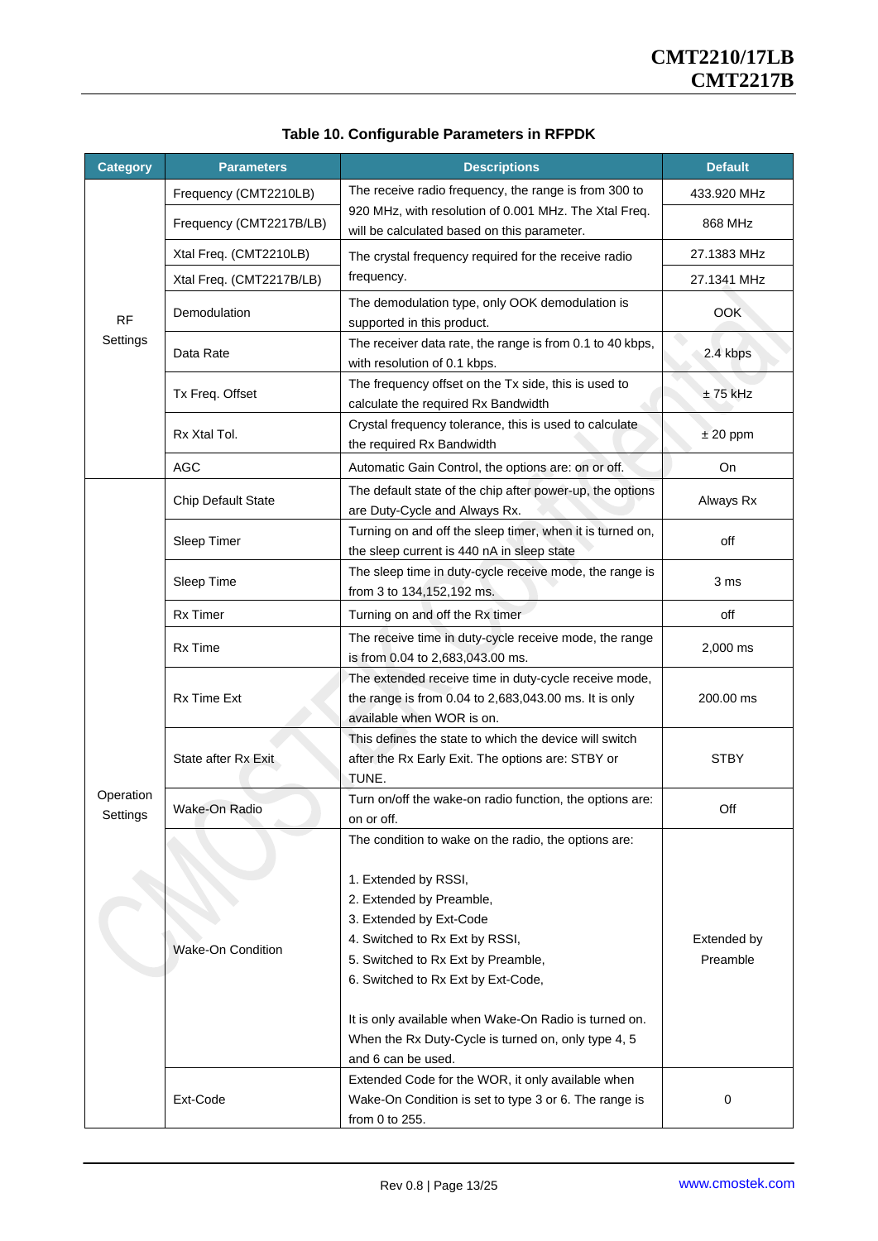| <b>Category</b>       | <b>Parameters</b>                                                                                    | <b>Descriptions</b>                                                                                                                                                                                                                                                                                                                                                                     | <b>Default</b>          |
|-----------------------|------------------------------------------------------------------------------------------------------|-----------------------------------------------------------------------------------------------------------------------------------------------------------------------------------------------------------------------------------------------------------------------------------------------------------------------------------------------------------------------------------------|-------------------------|
|                       | Frequency (CMT2210LB)                                                                                | The receive radio frequency, the range is from 300 to                                                                                                                                                                                                                                                                                                                                   | 433.920 MHz             |
|                       | Frequency (CMT2217B/LB)                                                                              | 920 MHz, with resolution of 0.001 MHz. The Xtal Freq.<br>will be calculated based on this parameter.                                                                                                                                                                                                                                                                                    | 868 MHz                 |
|                       | Xtal Freq. (CMT2210LB)<br>The crystal frequency required for the receive radio                       |                                                                                                                                                                                                                                                                                                                                                                                         | 27.1383 MHz             |
|                       | Xtal Freq. (CMT2217B/LB)                                                                             | frequency.                                                                                                                                                                                                                                                                                                                                                                              | 27.1341 MHz             |
| <b>RF</b>             | Demodulation                                                                                         | The demodulation type, only OOK demodulation is<br>supported in this product.                                                                                                                                                                                                                                                                                                           | <b>OOK</b>              |
| Settings              | Data Rate                                                                                            | The receiver data rate, the range is from 0.1 to 40 kbps,<br>with resolution of 0.1 kbps.                                                                                                                                                                                                                                                                                               | 2.4 kbps                |
|                       | Tx Freq. Offset                                                                                      | The frequency offset on the Tx side, this is used to<br>calculate the required Rx Bandwidth                                                                                                                                                                                                                                                                                             | $± 75$ kHz              |
|                       | Rx Xtal Tol.                                                                                         | Crystal frequency tolerance, this is used to calculate<br>the required Rx Bandwidth                                                                                                                                                                                                                                                                                                     | $± 20$ ppm              |
|                       | <b>AGC</b>                                                                                           | Automatic Gain Control, the options are: on or off.                                                                                                                                                                                                                                                                                                                                     | On                      |
|                       | Chip Default State                                                                                   | The default state of the chip after power-up, the options<br>are Duty-Cycle and Always Rx.                                                                                                                                                                                                                                                                                              | Always Rx               |
|                       | Sleep Timer                                                                                          | Turning on and off the sleep timer, when it is turned on,<br>the sleep current is 440 nA in sleep state                                                                                                                                                                                                                                                                                 | off                     |
|                       | The sleep time in duty-cycle receive mode, the range is<br>Sleep Time<br>from 3 to 134, 152, 192 ms. |                                                                                                                                                                                                                                                                                                                                                                                         | 3 ms                    |
|                       | <b>Rx Timer</b>                                                                                      | Turning on and off the Rx timer                                                                                                                                                                                                                                                                                                                                                         | off                     |
|                       | Rx Time                                                                                              | The receive time in duty-cycle receive mode, the range<br>is from 0.04 to 2,683,043.00 ms.                                                                                                                                                                                                                                                                                              | 2,000 ms                |
|                       | Rx Time Ext                                                                                          | The extended receive time in duty-cycle receive mode,<br>the range is from 0.04 to 2,683,043.00 ms. It is only<br>available when WOR is on.                                                                                                                                                                                                                                             | 200.00 ms               |
|                       | State after Rx Exit                                                                                  | This defines the state to which the device will switch<br>after the Rx Early Exit. The options are: STBY or<br>TUNE.                                                                                                                                                                                                                                                                    | <b>STBY</b>             |
| Operation<br>Settings | Wake-On Radio                                                                                        | Turn on/off the wake-on radio function, the options are:<br>on or off.                                                                                                                                                                                                                                                                                                                  | Off                     |
|                       | <b>Wake-On Condition</b>                                                                             | The condition to wake on the radio, the options are:<br>1. Extended by RSSI,<br>2. Extended by Preamble,<br>3. Extended by Ext-Code<br>4. Switched to Rx Ext by RSSI,<br>5. Switched to Rx Ext by Preamble,<br>6. Switched to Rx Ext by Ext-Code,<br>It is only available when Wake-On Radio is turned on.<br>When the Rx Duty-Cycle is turned on, only type 4, 5<br>and 6 can be used. | Extended by<br>Preamble |
|                       | Ext-Code                                                                                             | Extended Code for the WOR, it only available when<br>Wake-On Condition is set to type 3 or 6. The range is<br>from 0 to 255.                                                                                                                                                                                                                                                            | 0                       |

#### **Table 10. Configurable Parameters in RFPDK**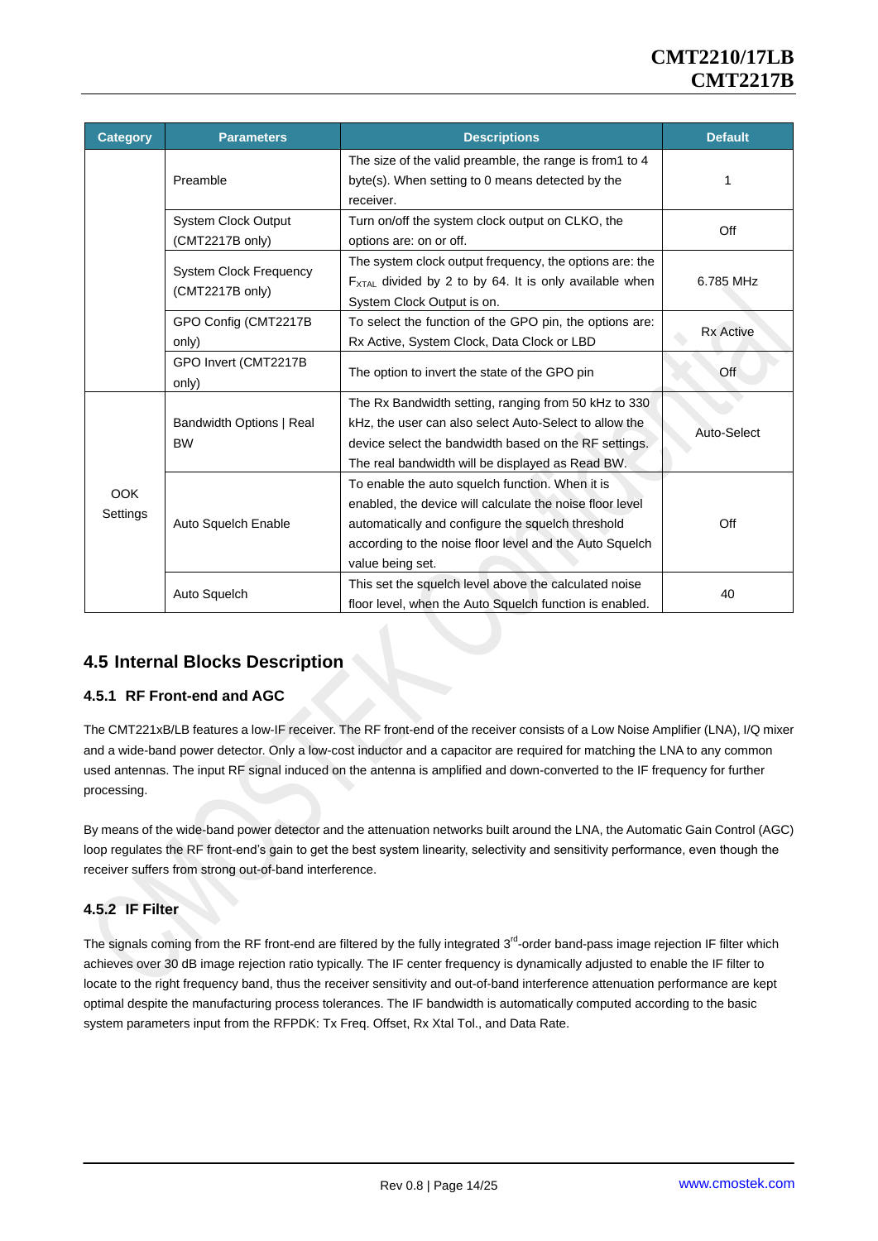| <b>Category</b>               | <b>Descriptions</b><br><b>Parameters</b>         |                                                                                                                                                                                                                                                 | <b>Default</b>   |
|-------------------------------|--------------------------------------------------|-------------------------------------------------------------------------------------------------------------------------------------------------------------------------------------------------------------------------------------------------|------------------|
|                               | Preamble                                         | The size of the valid preamble, the range is from 1 to 4<br>byte(s). When setting to 0 means detected by the<br>receiver.                                                                                                                       | 1                |
|                               | System Clock Output<br>(CMT2217B only)           | Turn on/off the system clock output on CLKO, the<br>options are: on or off.                                                                                                                                                                     | Off              |
|                               | <b>System Clock Frequency</b><br>(CMT2217B only) | The system clock output frequency, the options are: the<br>$F_{XTAL}$ divided by 2 to by 64. It is only available when<br>System Clock Output is on.                                                                                            | 6.785 MHz        |
|                               | GPO Config (CMT2217B<br>only)                    | To select the function of the GPO pin, the options are:<br>Rx Active, System Clock, Data Clock or LBD                                                                                                                                           | <b>Rx Active</b> |
| GPO Invert (CMT2217B<br>only) |                                                  | The option to invert the state of the GPO pin                                                                                                                                                                                                   | Off              |
|                               | Bandwidth Options   Real<br><b>BW</b>            | The Rx Bandwidth setting, ranging from 50 kHz to 330<br>kHz, the user can also select Auto-Select to allow the<br>device select the bandwidth based on the RF settings.<br>The real bandwidth will be displayed as Read BW.                     | Auto-Select      |
| <b>OOK</b><br>Settings        | Auto Squelch Enable                              | To enable the auto squelch function. When it is<br>enabled, the device will calculate the noise floor level<br>automatically and configure the squelch threshold<br>according to the noise floor level and the Auto Squelch<br>value being set. | Off              |
|                               | Auto Squelch                                     | This set the squelch level above the calculated noise<br>floor level, when the Auto Squelch function is enabled.                                                                                                                                | 40               |

#### <span id="page-13-0"></span>**4.5 Internal Blocks Description**

#### <span id="page-13-1"></span>**4.5.1 RF Front-end and AGC**

The CMT221xB/LB features a low-IF receiver. The RF front-end of the receiver consists of a Low Noise Amplifier (LNA), I/Q mixer and a wide-band power detector. Only a low-cost inductor and a capacitor are required for matching the LNA to any common used antennas. The input RF signal induced on the antenna is amplified and down-converted to the IF frequency for further processing.

By means of the wide-band power detector and the attenuation networks built around the LNA, the Automatic Gain Control (AGC) loop regulates the RF front-end's gain to get the best system linearity, selectivity and sensitivity performance, even though the receiver suffers from strong out-of-band interference.

#### <span id="page-13-2"></span>**4.5.2 IF Filter**

The signals coming from the RF front-end are filtered by the fully integrated 3<sup>rd</sup>-order band-pass image rejection IF filter which achieves over 30 dB image rejection ratio typically. The IF center frequency is dynamically adjusted to enable the IF filter to locate to the right frequency band, thus the receiver sensitivity and out-of-band interference attenuation performance are kept optimal despite the manufacturing process tolerances. The IF bandwidth is automatically computed according to the basic system parameters input from the RFPDK: Tx Freq. Offset, Rx Xtal Tol., and Data Rate.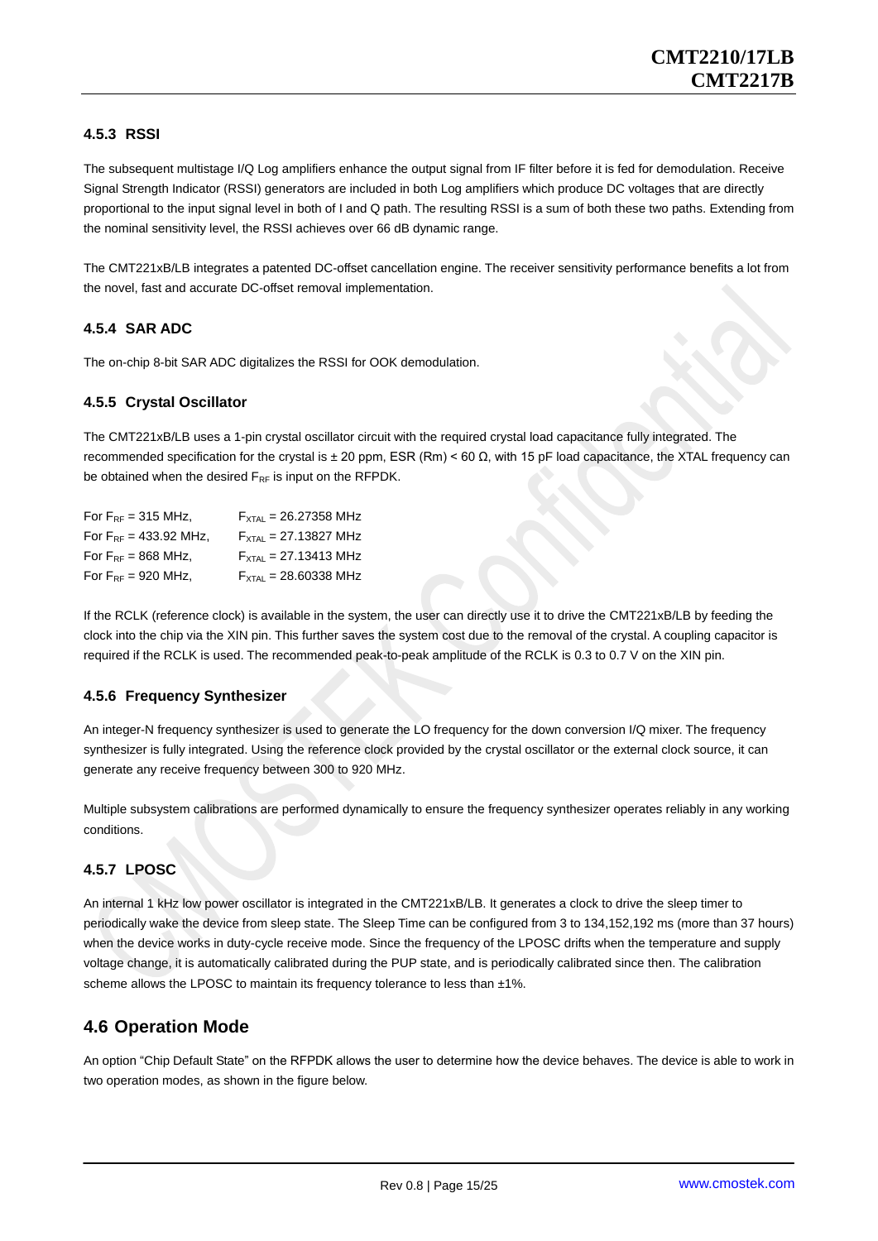#### <span id="page-14-0"></span>**4.5.3 RSSI**

The subsequent multistage I/Q Log amplifiers enhance the output signal from IF filter before it is fed for demodulation. Receive Signal Strength Indicator (RSSI) generators are included in both Log amplifiers which produce DC voltages that are directly proportional to the input signal level in both of I and Q path. The resulting RSSI is a sum of both these two paths. Extending from the nominal sensitivity level, the RSSI achieves over 66 dB dynamic range.

The CMT221xB/LB integrates a patented DC-offset cancellation engine. The receiver sensitivity performance benefits a lot from the novel, fast and accurate DC-offset removal implementation.

#### <span id="page-14-1"></span>**4.5.4 SAR ADC**

The on-chip 8-bit SAR ADC digitalizes the RSSI for OOK demodulation.

#### <span id="page-14-2"></span>**4.5.5 Crystal Oscillator**

The CMT221xB/LB uses a 1-pin crystal oscillator circuit with the required crystal load capacitance fully integrated. The recommended specification for the crystal is  $\pm 20$  ppm, ESR (Rm) < 60 Ω, with 15 pF load capacitance, the XTAL frequency can be obtained when the desired  $F_{RF}$  is input on the RFPDK.

| For $F_{RF}$ = 315 MHz,    | $F_{\text{XTAl}}$ = 26.27358 MHz         |
|----------------------------|------------------------------------------|
| For $F_{RF} = 433.92$ MHz, | $F_{\text{XTAl}} = 27.13827 \text{ MHz}$ |
| For $F_{RF}$ = 868 MHz,    | $F_{\text{XTAI}} = 27.13413 \text{ MHz}$ |
| For $F_{RF}$ = 920 MHz,    | $F_{\text{XTAl}} = 28.60338 \text{ MHz}$ |

If the RCLK (reference clock) is available in the system, the user can directly use it to drive the CMT221xB/LB by feeding the clock into the chip via the XIN pin. This further saves the system cost due to the removal of the crystal. A coupling capacitor is required if the RCLK is used. The recommended peak-to-peak amplitude of the RCLK is 0.3 to 0.7 V on the XIN pin.

#### <span id="page-14-3"></span>**4.5.6 Frequency Synthesizer**

An integer-N frequency synthesizer is used to generate the LO frequency for the down conversion I/Q mixer. The frequency synthesizer is fully integrated. Using the reference clock provided by the crystal oscillator or the external clock source, it can generate any receive frequency between 300 to 920 MHz.

Multiple subsystem calibrations are performed dynamically to ensure the frequency synthesizer operates reliably in any working conditions.

#### <span id="page-14-4"></span>**4.5.7 LPOSC**

An internal 1 kHz low power oscillator is integrated in the CMT221xB/LB. It generates a clock to drive the sleep timer to periodically wake the device from sleep state. The Sleep Time can be configured from 3 to 134,152,192 ms (more than 37 hours) when the device works in duty-cycle receive mode. Since the frequency of the LPOSC drifts when the temperature and supply voltage change, it is automatically calibrated during the PUP state, and is periodically calibrated since then. The calibration scheme allows the LPOSC to maintain its frequency tolerance to less than  $\pm 1\%$ .

#### <span id="page-14-5"></span>**4.6 Operation Mode**

An option "Chip Default State" on the RFPDK allows the user to determine how the device behaves. The device is able to work in two operation modes, as shown in the figure below.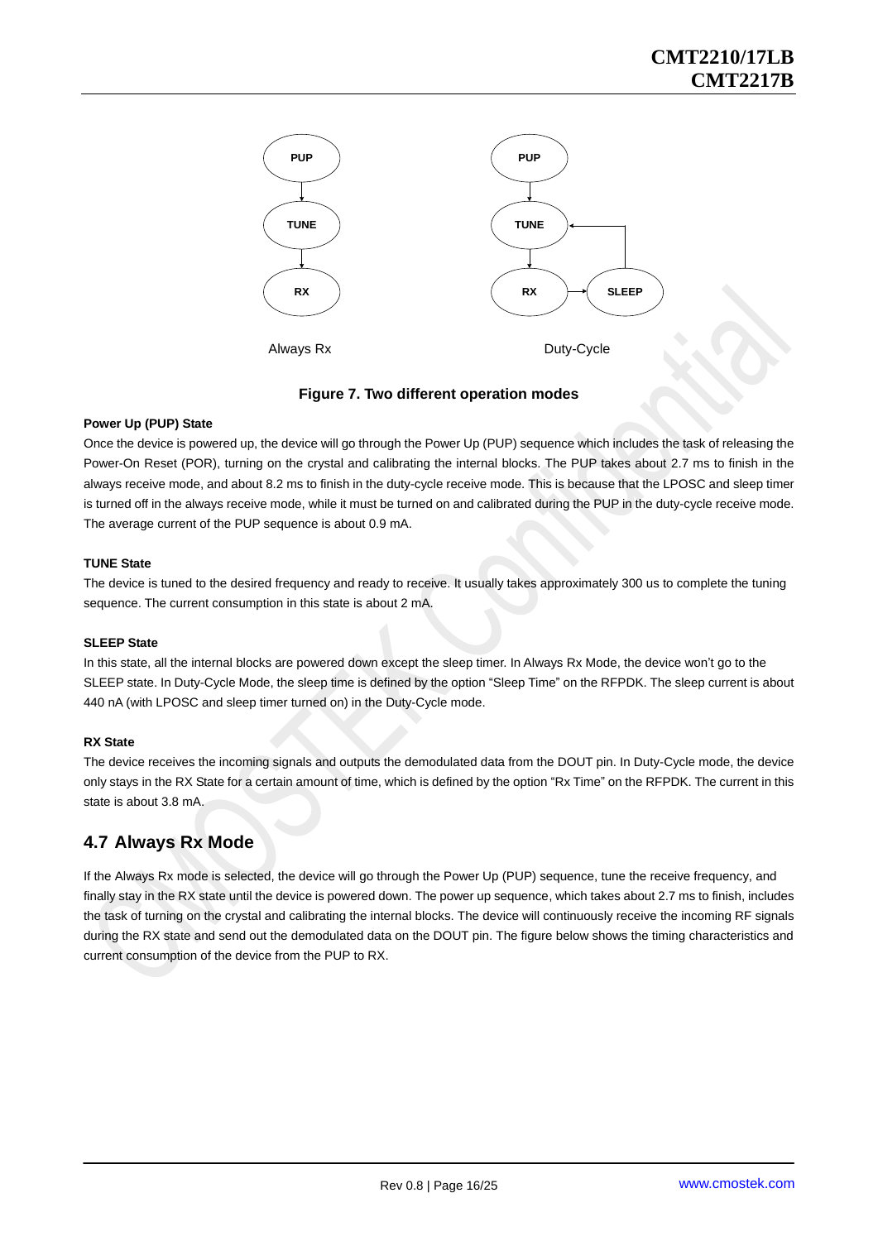

#### **Figure 7. Two different operation modes**

#### **Power Up (PUP) State**

Once the device is powered up, the device will go through the Power Up (PUP) sequence which includes the task of releasing the Power-On Reset (POR), turning on the crystal and calibrating the internal blocks. The PUP takes about 2.7 ms to finish in the always receive mode, and about 8.2 ms to finish in the duty-cycle receive mode. This is because that the LPOSC and sleep timer is turned off in the always receive mode, while it must be turned on and calibrated during the PUP in the duty-cycle receive mode. The average current of the PUP sequence is about 0.9 mA.

#### **TUNE State**

The device is tuned to the desired frequency and ready to receive. It usually takes approximately 300 us to complete the tuning sequence. The current consumption in this state is about 2 mA.

#### **SLEEP State**

In this state, all the internal blocks are powered down except the sleep timer. In Always Rx Mode, the device won't go to the SLEEP state. In Duty-Cycle Mode, the sleep time is defined by the option "Sleep Time" on the RFPDK. The sleep current is about 440 nA (with LPOSC and sleep timer turned on) in the Duty-Cycle mode.

#### **RX State**

The device receives the incoming signals and outputs the demodulated data from the DOUT pin. In Duty-Cycle mode, the device only stays in the RX State for a certain amount of time, which is defined by the option "Rx Time" on the RFPDK. The current in this state is about 3.8 mA.

#### <span id="page-15-0"></span>**4.7 Always Rx Mode**

If the Always Rx mode is selected, the device will go through the Power Up (PUP) sequence, tune the receive frequency, and finally stay in the RX state until the device is powered down. The power up sequence, which takes about 2.7 ms to finish, includes the task of turning on the crystal and calibrating the internal blocks. The device will continuously receive the incoming RF signals during the RX state and send out the demodulated data on the DOUT pin. The figure below shows the timing characteristics and current consumption of the device from the PUP to RX.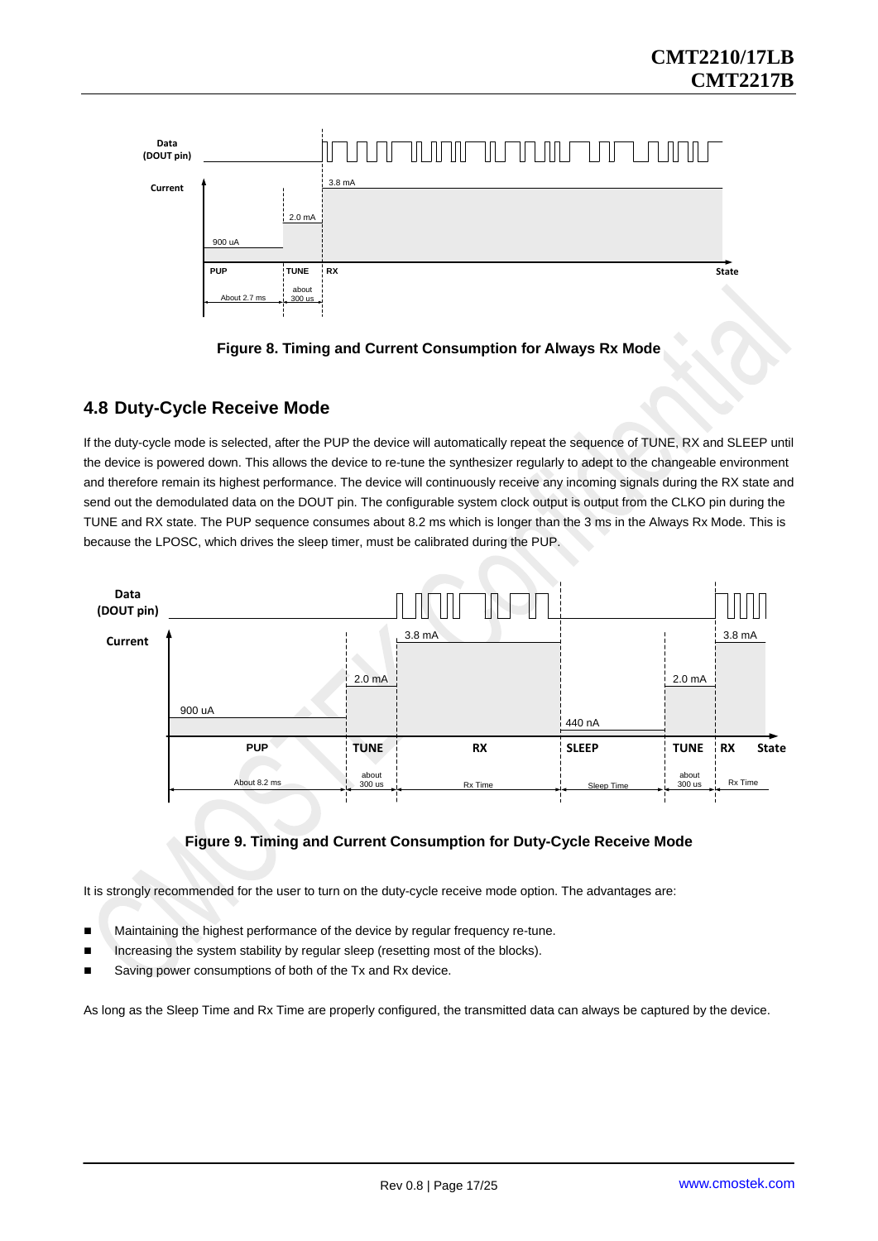

**Figure 8. Timing and Current Consumption for Always Rx Mode**

#### <span id="page-16-0"></span>**4.8 Duty-Cycle Receive Mode**

If the duty-cycle mode is selected, after the PUP the device will automatically repeat the sequence of TUNE, RX and SLEEP until the device is powered down. This allows the device to re-tune the synthesizer regularly to adept to the changeable environment and therefore remain its highest performance. The device will continuously receive any incoming signals during the RX state and send out the demodulated data on the DOUT pin. The configurable system clock output is output from the CLKO pin during the TUNE and RX state. The PUP sequence consumes about 8.2 ms which is longer than the 3 ms in the Always Rx Mode. This is because the LPOSC, which drives the sleep timer, must be calibrated during the PUP.





It is strongly recommended for the user to turn on the duty-cycle receive mode option. The advantages are:

- Maintaining the highest performance of the device by regular frequency re-tune.
- Increasing the system stability by regular sleep (resetting most of the blocks).
- Saving power consumptions of both of the Tx and Rx device.

As long as the Sleep Time and Rx Time are properly configured, the transmitted data can always be captured by the device.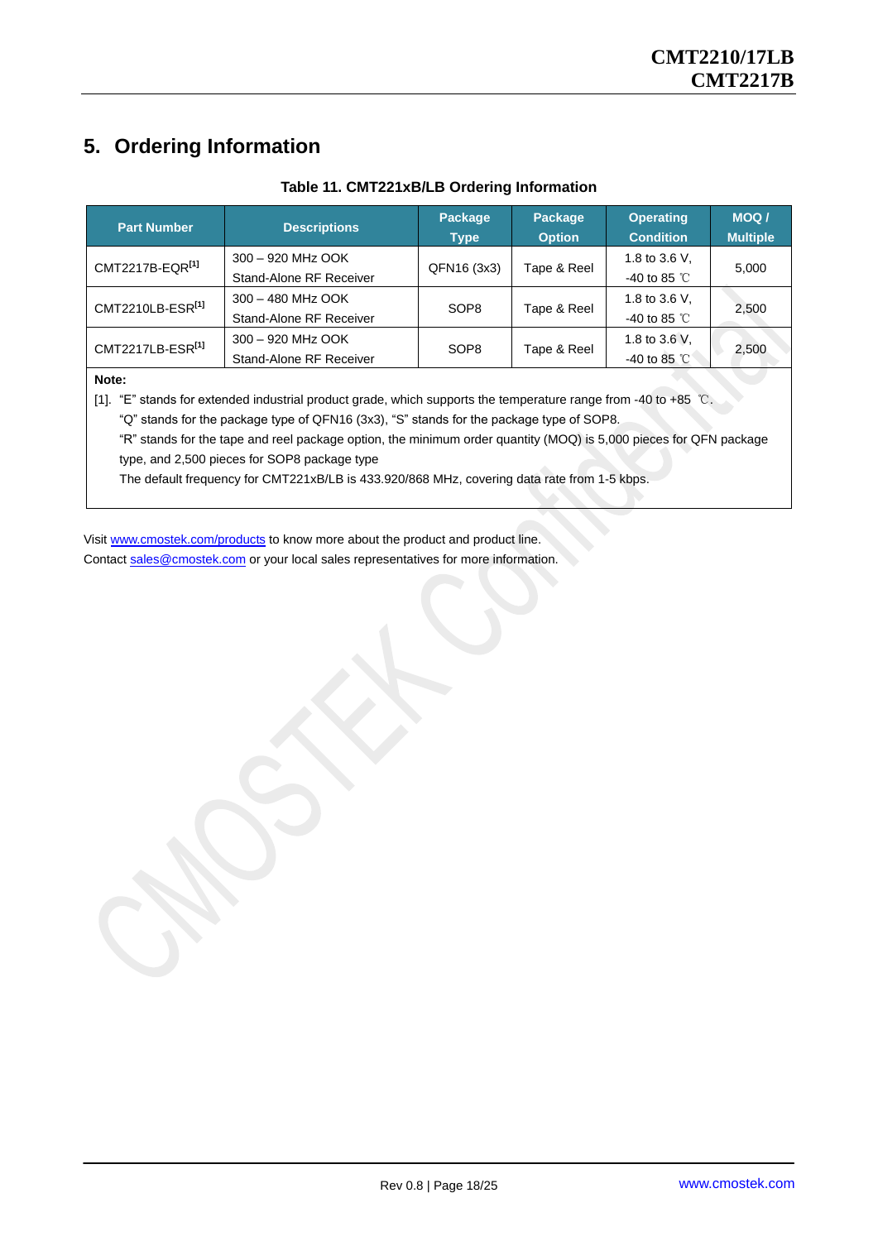# <span id="page-17-0"></span>**5. Ordering Information**

| <b>Part Number</b>           | <b>Descriptions</b>     | Package<br><b>Type</b> | Package<br><b>Option</b> | <b>Operating</b><br><b>Condition</b> | <b>MOQ/</b><br><b>Multiple</b> |
|------------------------------|-------------------------|------------------------|--------------------------|--------------------------------------|--------------------------------|
| CMT2217B-EQR <sup>[1]</sup>  | 300 - 920 MHz OOK       |                        |                          | 1.8 to 3.6 V.                        |                                |
|                              | Stand-Alone RF Receiver | QFN16 (3x3)            | Tape & Reel              | -40 to 85 $\degree$ C                | 5,000                          |
| CMT2210LB-ESR <sup>[1]</sup> | 300 - 480 MHz OOK       | SOP <sub>8</sub>       | Tape & Reel              | 1.8 to 3.6 V.                        | 2,500                          |
|                              | Stand-Alone RF Receiver |                        |                          | -40 to 85 $\degree$ C                |                                |
|                              | 300 - 920 MHz OOK       |                        | Tape & Reel              | 1.8 to 3.6 V,                        |                                |
| CMT2217LB-ESR <sup>[1]</sup> | Stand-Alone RF Receiver | SOP <sub>8</sub>       |                          | -40 to 85 °C                         | 2,500                          |
| Note:                        |                         |                        |                          |                                      |                                |

#### **Table 11. CMT221xB/LB Ordering Information**

**Note:**

[1]. ―E‖ stands for extended industrial product grade, which supports the temperature range from -40 to +85 ℃.

"Q" stands for the package type of QFN16 (3x3), "S" stands for the package type of SOP8.

"R" stands for the tape and reel package option, the minimum order quantity (MOQ) is 5,000 pieces for QFN package type, and 2,500 pieces for SOP8 package type

The default frequency for CMT221xB/LB is 433.920/868 MHz, covering data rate from 1-5 kbps.

Visit [www.cmostek.com/products](http://www.cmostek.com/products) to know more about the product and product line. Contact [sales@cmostek.com](mailto:sales@cmostek.com) or your local sales representatives for more information.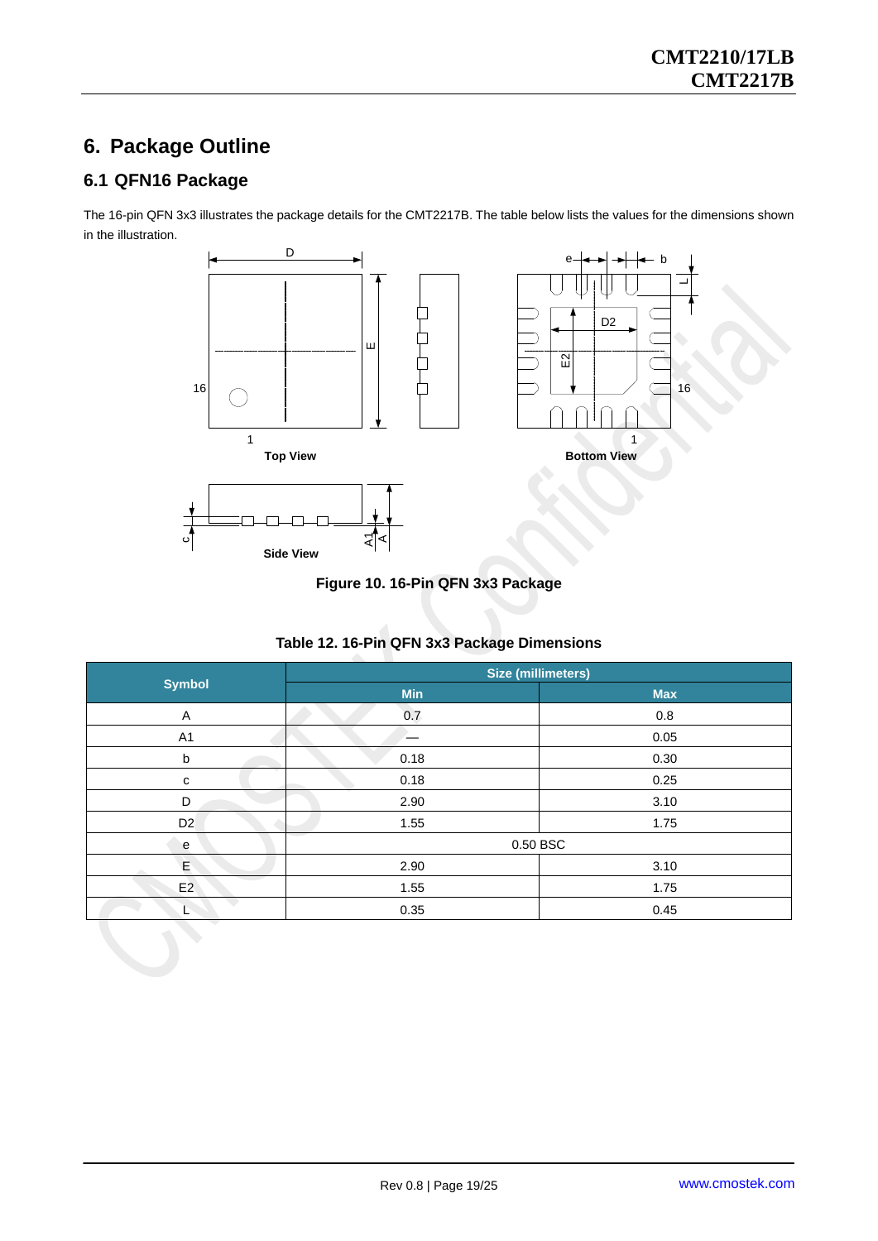# <span id="page-18-0"></span>**6. Package Outline**

# <span id="page-18-1"></span>**6.1 QFN16 Package**

The 16-pin QFN 3x3 illustrates the package details for the CMT2217B. The table below lists the values for the dimensions shown in the illustration.



#### **Figure 10. 16-Pin QFN 3x3 Package**

|                | <b>Size (millimeters)</b> |            |  |
|----------------|---------------------------|------------|--|
| <b>Symbol</b>  | Min                       | <b>Max</b> |  |
| Α              | 0.7                       | 0.8        |  |
| A <sub>1</sub> |                           | 0.05       |  |
| b              | 0.18                      | 0.30       |  |
| C              | 0.18                      | 0.25       |  |
| D              | 2.90                      | 3.10       |  |
| D <sub>2</sub> | 1.55                      | 1.75       |  |
| e              | 0.50 BSC                  |            |  |
| Ε              | 2.90                      | 3.10       |  |
| E <sub>2</sub> | 1.55                      | 1.75       |  |
|                | 0.35                      | 0.45       |  |

#### **Table 12. 16-Pin QFN 3x3 Package Dimensions**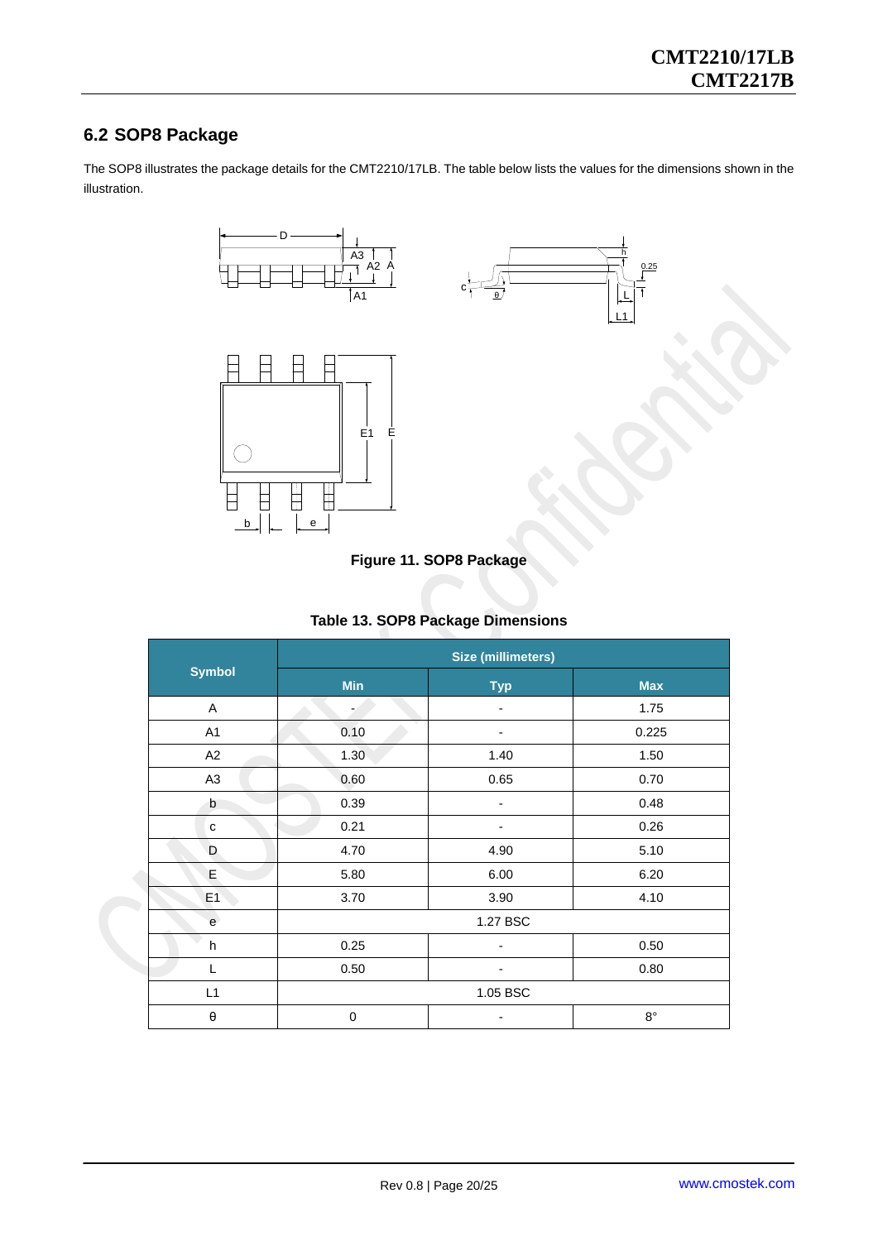## <span id="page-19-0"></span>**6.2 SOP8 Package**

The SOP8 illustrates the package details for the CMT2210/17LB. The table below lists the values for the dimensions shown in the illustration.





| Table 13. SOP8 Package Dimensions |
|-----------------------------------|
|-----------------------------------|

|                                            | <b>Size (millimeters)</b> |            |             |  |
|--------------------------------------------|---------------------------|------------|-------------|--|
| <b>Symbol</b>                              | <b>Min</b>                | <b>Typ</b> | <b>Max</b>  |  |
| A                                          |                           |            | 1.75        |  |
| A1                                         | 0.10                      | -          | 0.225       |  |
| A2                                         | 1.30                      | 1.40       | 1.50        |  |
| A <sub>3</sub>                             | 0.60                      | 0.65       | 0.70        |  |
| b                                          | 0.39                      | -          | 0.48        |  |
| $\mathbf c$                                | 0.21                      | ۰          | 0.26        |  |
| D                                          | 4.70                      | 4.90       | 5.10        |  |
| E                                          | 5.80                      | 6.00       | 6.20        |  |
| E1                                         | 3.70                      | 3.90       | 4.10        |  |
| $\mathsf{e}% _{0}\left( \mathsf{e}\right)$ | 1.27 BSC                  |            |             |  |
| $\mathsf{h}$                               | 0.25                      |            | 0.50        |  |
| L                                          | 0.50                      |            | 0.80        |  |
| L1                                         | 1.05 BSC                  |            |             |  |
| $\boldsymbol{\theta}$                      | 0                         | -          | $8^{\circ}$ |  |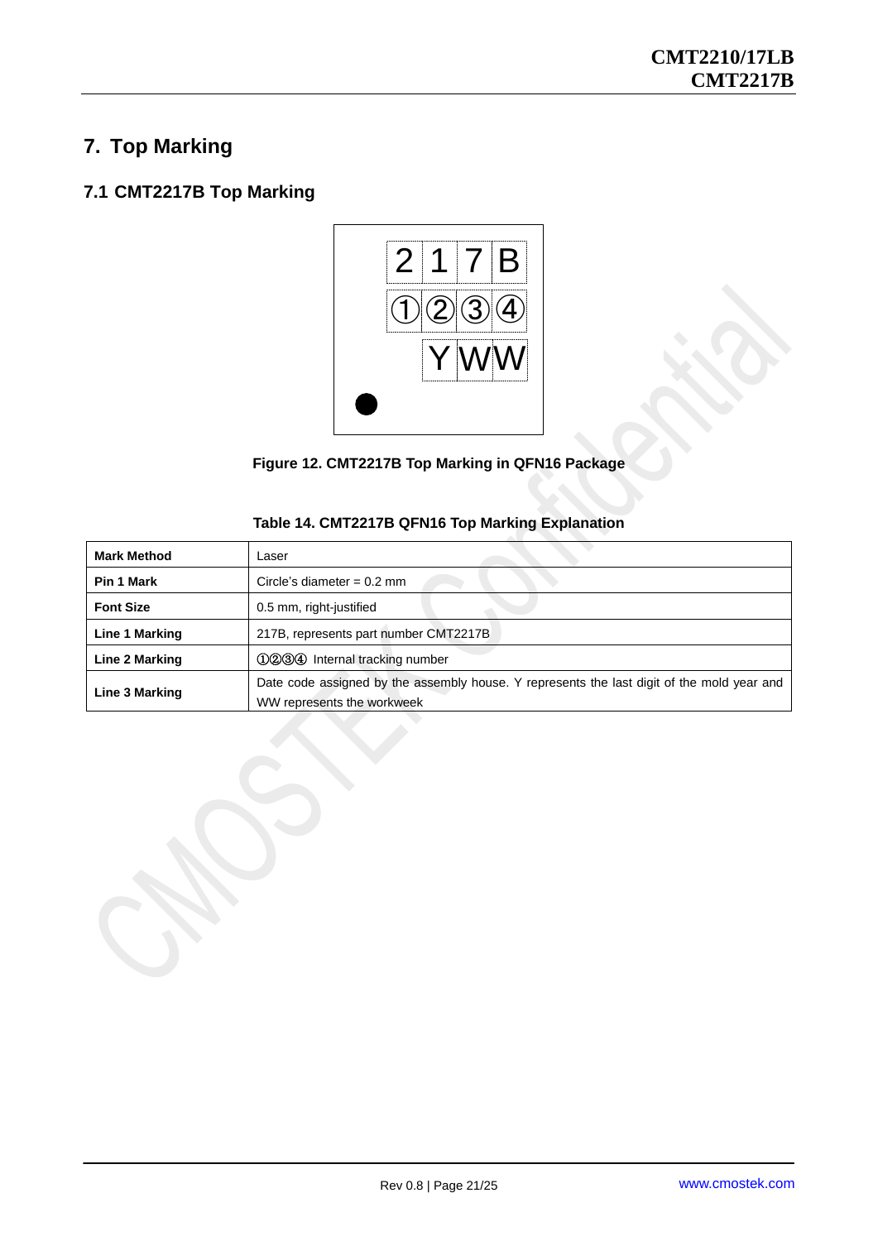# <span id="page-20-0"></span>**7. Top Marking**

# <span id="page-20-1"></span>**7.1 CMT2217B Top Marking**





|  |  | Table 14. CMT2217B QFN16 Top Marking Explanation |
|--|--|--------------------------------------------------|
|  |  |                                                  |

| <b>Mark Method</b> | Laser                                                                                      |
|--------------------|--------------------------------------------------------------------------------------------|
| Pin 1 Mark         | Circle's diameter = $0.2$ mm                                                               |
| <b>Font Size</b>   | 0.5 mm, right-justified                                                                    |
| Line 1 Marking     | 217B, represents part number CMT2217B                                                      |
| Line 2 Marking     | 1234 Internal tracking number                                                              |
| Line 3 Marking     | Date code assigned by the assembly house. Y represents the last digit of the mold year and |
|                    | WW represents the workweek                                                                 |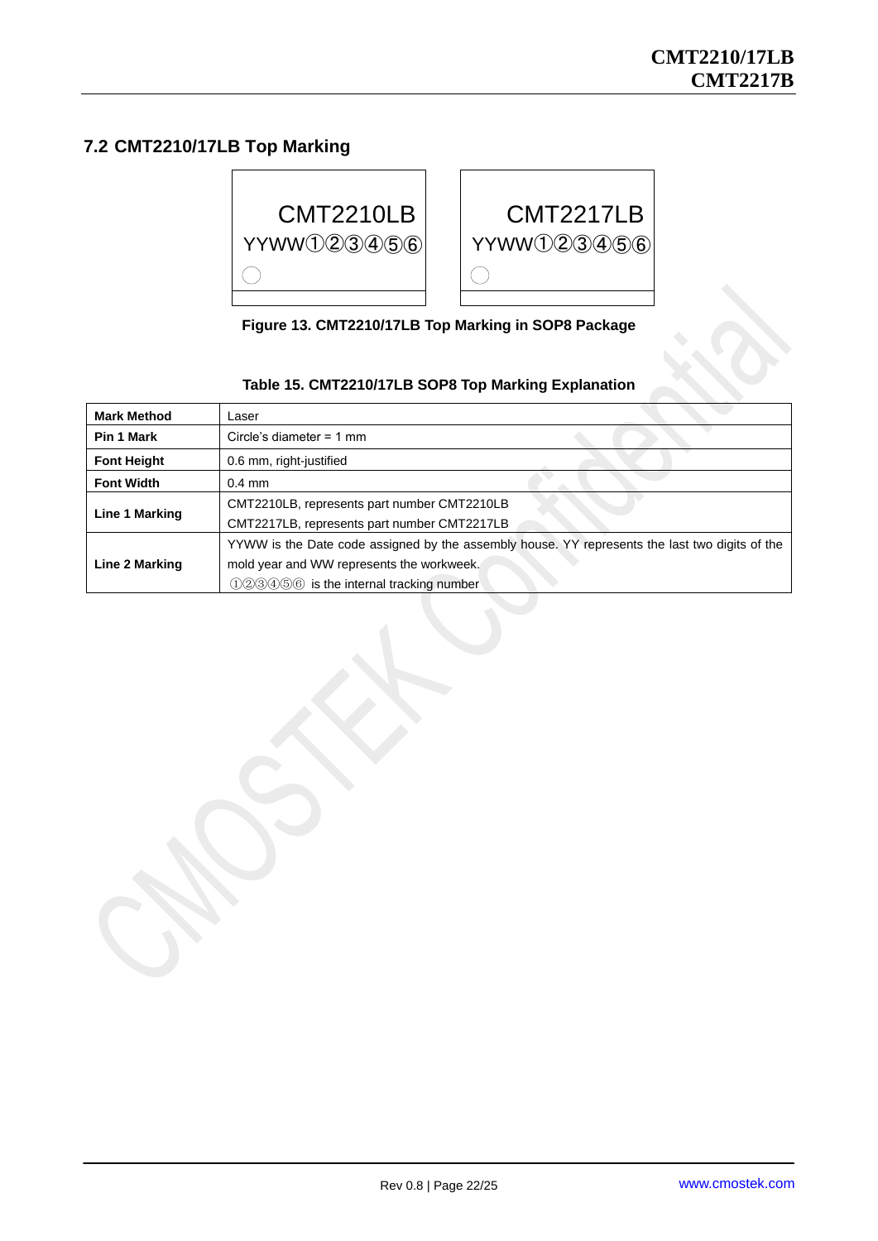#### <span id="page-21-0"></span>**7.2 CMT2210/17LB Top Marking**



**Figure 13. CMT2210/17LB Top Marking in SOP8 Package**

#### **Table 15. CMT2210/17LB SOP8 Top Marking Explanation**

| <b>Mark Method</b> | Laser                                                                                          |  |
|--------------------|------------------------------------------------------------------------------------------------|--|
| Pin 1 Mark         | Circle's diameter = $1 \text{ mm}$                                                             |  |
| <b>Font Height</b> | 0.6 mm, right-justified                                                                        |  |
| <b>Font Width</b>  | $0.4$ mm                                                                                       |  |
| Line 1 Marking     | CMT2210LB, represents part number CMT2210LB                                                    |  |
|                    | CMT2217LB, represents part number CMT2217LB                                                    |  |
|                    | YYWW is the Date code assigned by the assembly house. YY represents the last two digits of the |  |
| Line 2 Marking     | mold year and WW represents the workweek.                                                      |  |
|                    | 123456 is the internal tracking number                                                         |  |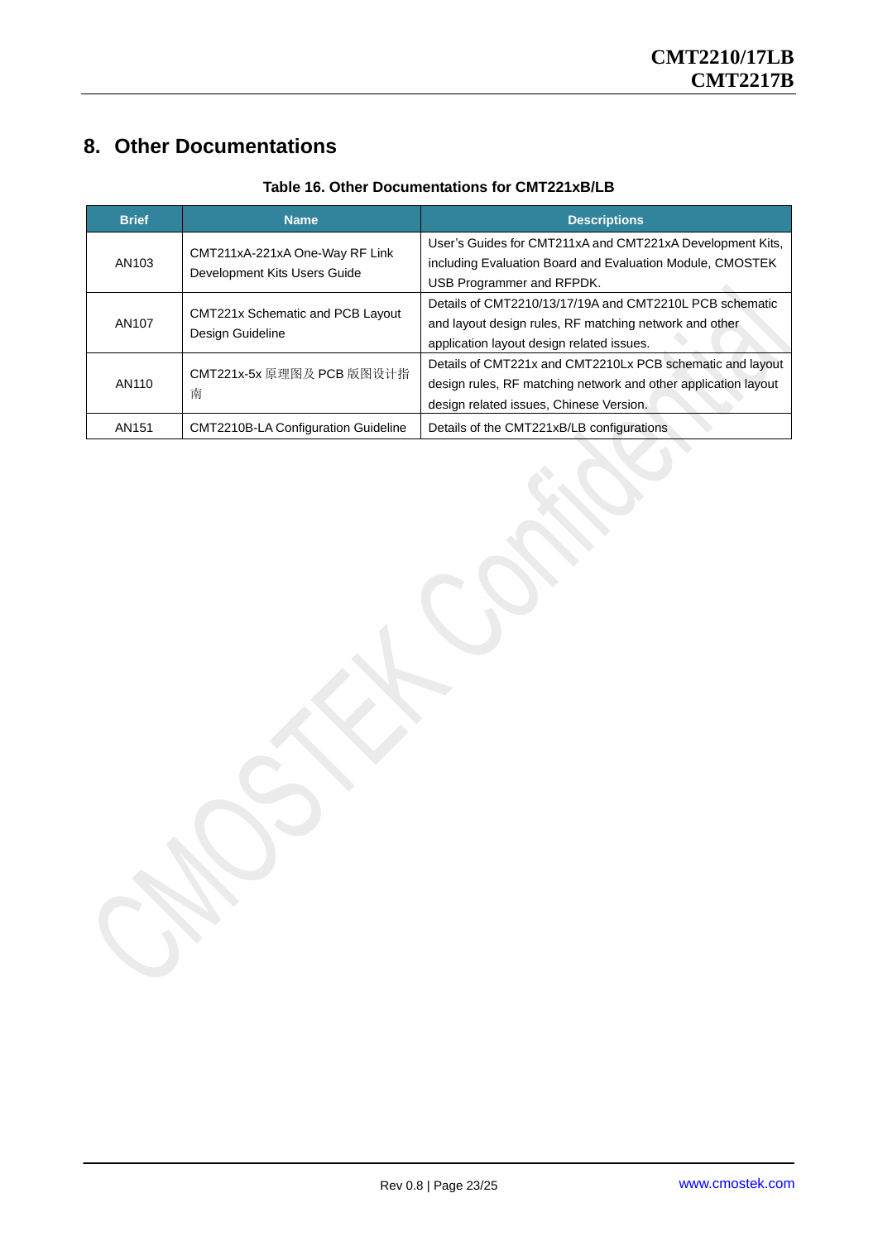# <span id="page-22-0"></span>**8. Other Documentations**

| <b>Brief</b> | <b>Name</b>                                                    | <b>Descriptions</b>                                                                                                                                                    |
|--------------|----------------------------------------------------------------|------------------------------------------------------------------------------------------------------------------------------------------------------------------------|
| AN103        | CMT211xA-221xA One-Way RF Link<br>Development Kits Users Guide | User's Guides for CMT211xA and CMT221xA Development Kits,<br>including Evaluation Board and Evaluation Module, CMOSTEK<br>USB Programmer and RFPDK.                    |
| AN107        | CMT221x Schematic and PCB Layout<br>Design Guideline           | Details of CMT2210/13/17/19A and CMT2210L PCB schematic<br>and layout design rules, RF matching network and other<br>application layout design related issues.         |
| AN110        | CMT221x-5x 原理图及 PCB 版图设计指<br>南                                 | Details of CMT221x and CMT2210Lx PCB schematic and layout<br>design rules, RF matching network and other application layout<br>design related issues, Chinese Version. |
| AN151        | CMT2210B-LA Configuration Guideline                            | Details of the CMT221xB/LB configurations                                                                                                                              |

#### **Table 16. Other Documentations for CMT221xB/LB**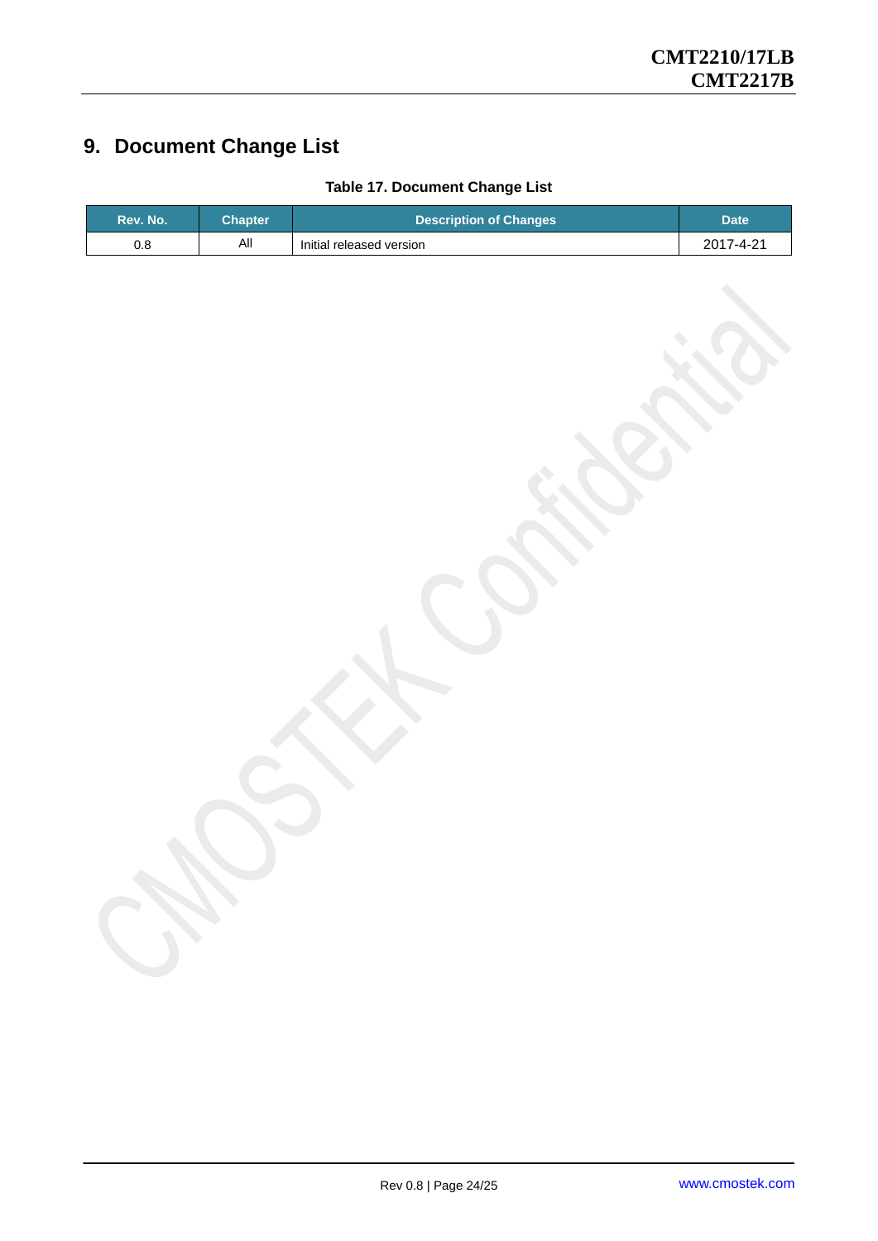# <span id="page-23-0"></span>**9. Document Change List**

# **Rev. No. Chapter Description of Changes Description of Changes Date** 0.8 All Initial released version 2017-4-21

#### **Table 17. Document Change List**